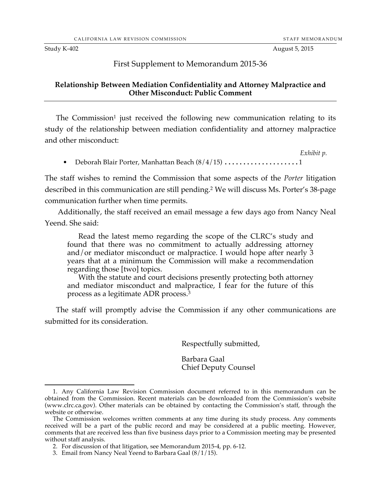#### First Supplement to Memorandum 2015-36

#### **Relationship Between Mediation Confidentiality and Attorney Malpractice and Other Misconduct: Public Comment**

The Commission<sup>1</sup> just received the following new communication relating to its study of the relationship between mediation confidentiality and attorney malpractice and other misconduct:

*Exhibit p.*

• Deborah Blair Porter, Manhattan Beach (8/4/15) ........................1

The staff wishes to remind the Commission that some aspects of the *Porter* litigation described in this communication are still pending.2 We will discuss Ms. Porter's 38-page communication further when time permits.

Additionally, the staff received an email message a few days ago from Nancy Neal Yeend. She said:

Read the latest memo regarding the scope of the CLRC's study and found that there was no commitment to actually addressing attorney and/or mediator misconduct or malpractice. I would hope after nearly 3 years that at a minimum the Commission will make a recommendation regarding those [two] topics.

With the statute and court decisions presently protecting both attorney and mediator misconduct and malpractice, I fear for the future of this process as a legitimate ADR process.3

The staff will promptly advise the Commission if any other communications are submitted for its consideration.

Respectfully submitted,

Barbara Gaal Chief Deputy Counsel

2. For discussion of that litigation, see Memorandum 2015-4, pp. 6-12.

 <sup>1.</sup> Any California Law Revision Commission document referred to in this memorandum can be obtained from the Commission. Recent materials can be downloaded from the Commission's website (www.clrc.ca.gov). Other materials can be obtained by contacting the Commission's staff, through the website or otherwise.

The Commission welcomes written comments at any time during its study process. Any comments received will be a part of the public record and may be considered at a public meeting. However, comments that are received less than five business days prior to a Commission meeting may be presented without staff analysis.

<sup>3.</sup> Email from Nancy Neal Yeend to Barbara Gaal (8/1/15).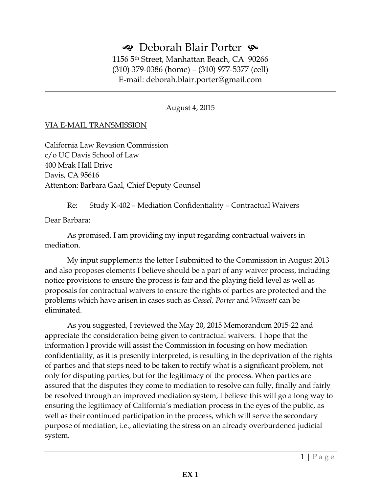### $\triangleleft$  Deborah Blair Porter  $\triangleleft$

1156 5th Street, Manhattan Beach, CA 90266 (310) 379-0386 (home) – (310) 977-5377 (cell) E-mail: deborah.blair.porter@gmail.com

August 4, 2015

#### VIA E-MAIL TRANSMISSION

California Law Revision Commission c/o UC Davis School of Law 400 Mrak Hall Drive Davis, CA 95616 Attention: Barbara Gaal, Chief Deputy Counsel

Re: Study K-402 – Mediation Confidentiality – Contractual Waivers

Dear Barbara:

 As promised, I am providing my input regarding contractual waivers in mediation.

My input supplements the letter I submitted to the Commission in August 2013 and also proposes elements I believe should be a part of any waiver process, including notice provisions to ensure the process is fair and the playing field level as well as proposals for contractual waivers to ensure the rights of parties are protected and the problems which have arisen in cases such as *Cassel, Porter* and *Wimsatt* can be eliminated.

As you suggested, I reviewed the May 20, 2015 Memorandum 2015-22 and appreciate the consideration being given to contractual waivers. I hope that the information I provide will assist the Commission in focusing on how mediation confidentiality, as it is presently interpreted, is resulting in the deprivation of the rights of parties and that steps need to be taken to rectify what is a significant problem, not only for disputing parties, but for the legitimacy of the process. When parties are assured that the disputes they come to mediation to resolve can fully, finally and fairly be resolved through an improved mediation system, I believe this will go a long way to ensuring the legitimacy of California's mediation process in the eyes of the public, as well as their continued participation in the process, which will serve the secondary purpose of mediation, i.e., alleviating the stress on an already overburdened judicial system.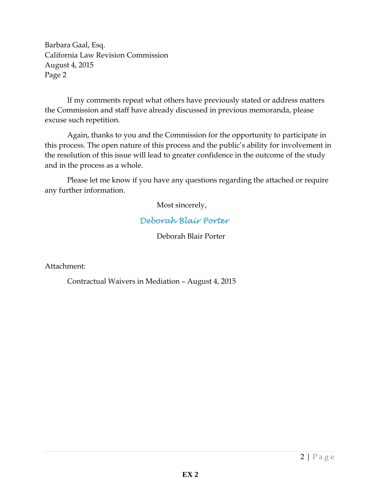Barbara Gaal, Esq. California Law Revision Commission August 4, 2015 Page 2

If my comments repeat what others have previously stated or address matters the Commission and staff have already discussed in previous memoranda, please excuse such repetition.

Again, thanks to you and the Commission for the opportunity to participate in this process. The open nature of this process and the public's ability for involvement in the resolution of this issue will lead to greater confidence in the outcome of the study and in the process as a whole.

Please let me know if you have any questions regarding the attached or require any further information.

Most sincerely,

#### *Deborah Blair Porter*

Deborah Blair Porter

Attachment:

Contractual Waivers in Mediation – August 4, 2015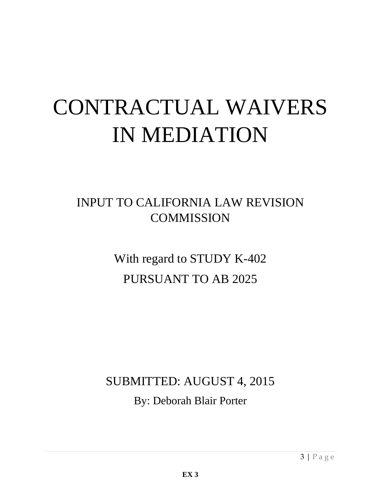# CONTRACTUAL WAIVERS IN MEDIATION

## INPUT TO CALIFORNIA LAW REVISION **COMMISSION**

With regard to STUDY K-402 PURSUANT TO AB 2025

# SUBMITTED: AUGUST 4, 2015 By: Deborah Blair Porter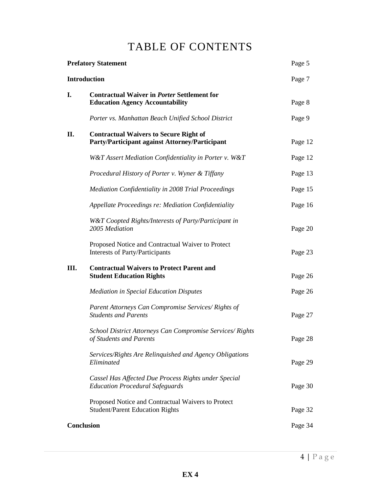## TABLE OF CONTENTS

| <b>Prefatory Statement</b><br><b>Introduction</b> |                                                                                                        | Page 5  |
|---------------------------------------------------|--------------------------------------------------------------------------------------------------------|---------|
|                                                   |                                                                                                        | Page 7  |
| I.                                                | <b>Contractual Waiver in Porter Settlement for</b><br><b>Education Agency Accountability</b>           | Page 8  |
|                                                   | Porter vs. Manhattan Beach Unified School District                                                     | Page 9  |
| П.                                                | <b>Contractual Waivers to Secure Right of</b><br><b>Party/Participant against Attorney/Participant</b> | Page 12 |
|                                                   | W&T Assert Mediation Confidentiality in Porter v. W&T                                                  | Page 12 |
|                                                   | Procedural History of Porter v. Wyner & Tiffany                                                        | Page 13 |
|                                                   | Mediation Confidentiality in 2008 Trial Proceedings                                                    | Page 15 |
|                                                   | Appellate Proceedings re: Mediation Confidentiality                                                    | Page 16 |
|                                                   | W&T Coopted Rights/Interests of Party/Participant in<br>2005 Mediation                                 | Page 20 |
|                                                   | Proposed Notice and Contractual Waiver to Protect<br>Interests of Party/Participants                   | Page 23 |
| Ш.                                                | <b>Contractual Waivers to Protect Parent and</b><br><b>Student Education Rights</b>                    | Page 26 |
|                                                   | <b>Mediation in Special Education Disputes</b>                                                         | Page 26 |
|                                                   | Parent Attorneys Can Compromise Services/Rights of<br><b>Students and Parents</b>                      | Page 27 |
|                                                   | School District Attorneys Can Compromise Services/Rights<br>of Students and Parents                    | Page 28 |
|                                                   | Services/Rights Are Relinquished and Agency Obligations<br>Eliminated                                  | Page 29 |
|                                                   | Cassel Has Affected Due Process Rights under Special<br><b>Education Procedural Safeguards</b>         | Page 30 |
|                                                   | Proposed Notice and Contractual Waivers to Protect<br><b>Student/Parent Education Rights</b>           | Page 32 |
| <b>Conclusion</b>                                 |                                                                                                        | Page 34 |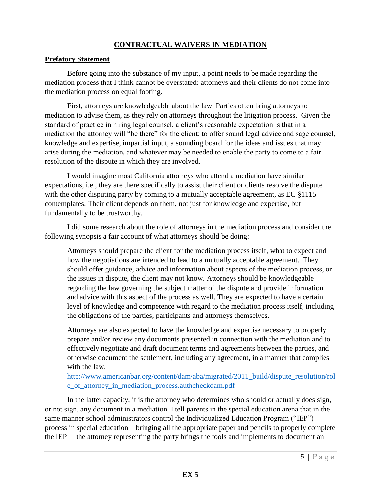#### **CONTRACTUAL WAIVERS IN MEDIATION**

#### **Prefatory Statement**

Before going into the substance of my input, a point needs to be made regarding the mediation process that I think cannot be overstated: attorneys and their clients do not come into the mediation process on equal footing.

First, attorneys are knowledgeable about the law. Parties often bring attorneys to mediation to advise them, as they rely on attorneys throughout the litigation process. Given the standard of practice in hiring legal counsel, a client's reasonable expectation is that in a mediation the attorney will "be there" for the client: to offer sound legal advice and sage counsel, knowledge and expertise, impartial input, a sounding board for the ideas and issues that may arise during the mediation, and whatever may be needed to enable the party to come to a fair resolution of the dispute in which they are involved.

 I would imagine most California attorneys who attend a mediation have similar expectations, i.e., they are there specifically to assist their client or clients resolve the dispute with the other disputing party by coming to a mutually acceptable agreement, as EC §1115 contemplates. Their client depends on them, not just for knowledge and expertise, but fundamentally to be trustworthy.

I did some research about the role of attorneys in the mediation process and consider the following synopsis a fair account of what attorneys should be doing:

Attorneys should prepare the client for the mediation process itself, what to expect and how the negotiations are intended to lead to a mutually acceptable agreement. They should offer guidance, advice and information about aspects of the mediation process, or the issues in dispute, the client may not know. Attorneys should be knowledgeable regarding the law governing the subject matter of the dispute and provide information and advice with this aspect of the process as well. They are expected to have a certain level of knowledge and competence with regard to the mediation process itself, including the obligations of the parties, participants and attorneys themselves.

Attorneys are also expected to have the knowledge and expertise necessary to properly prepare and/or review any documents presented in connection with the mediation and to effectively negotiate and draft document terms and agreements between the parties, and otherwise document the settlement, including any agreement, in a manner that complies with the law.

[http://www.americanbar.org/content/dam/aba/migrated/2011\\_build/dispute\\_resolution/rol](http://www.americanbar.org/content/dam/aba/migrated/2011_build/dispute_resolution/role_of_attorney_in_mediation_process.authcheckdam.pdf) [e\\_of\\_attorney\\_in\\_mediation\\_process.authcheckdam.pdf](http://www.americanbar.org/content/dam/aba/migrated/2011_build/dispute_resolution/role_of_attorney_in_mediation_process.authcheckdam.pdf)

In the latter capacity, it is the attorney who determines who should or actually does sign, or not sign, any document in a mediation. I tell parents in the special education arena that in the same manner school administrators control the Individualized Education Program ("IEP") process in special education – bringing all the appropriate paper and pencils to properly complete the IEP – the attorney representing the party brings the tools and implements to document an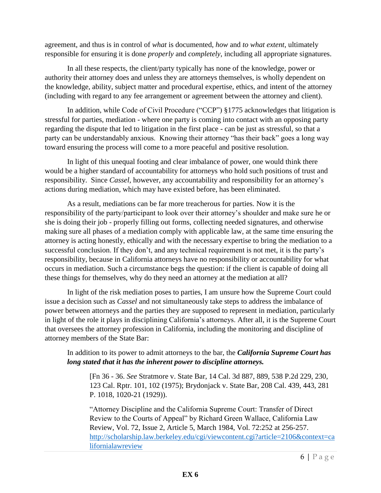agreement, and thus is in control of *what* is documented, *how* and *to what extent*, ultimately responsible for ensuring it is done *properly* and *completely*, including all appropriate signatures.

In all these respects, the client/party typically has none of the knowledge, power or authority their attorney does and unless they are attorneys themselves, is wholly dependent on the knowledge, ability, subject matter and procedural expertise, ethics, and intent of the attorney (including with regard to any fee arrangement or agreement between the attorney and client).

In addition, while Code of Civil Procedure ("CCP") §1775 acknowledges that litigation is stressful for parties, mediation - where one party is coming into contact with an opposing party regarding the dispute that led to litigation in the first place - can be just as stressful, so that a party can be understandably anxious. Knowing their attorney "has their back" goes a long way toward ensuring the process will come to a more peaceful and positive resolution.

In light of this unequal footing and clear imbalance of power, one would think there would be a higher standard of accountability for attorneys who hold such positions of trust and responsibility. Since *Cassel,* however, any accountability and responsibility for an attorney's actions during mediation, which may have existed before, has been eliminated.

As a result, mediations can be far more treacherous for parties. Now it is the responsibility of the party/participant to look over their attorney's shoulder and make sure he or she is doing their job - properly filling out forms, collecting needed signatures, and otherwise making sure all phases of a mediation comply with applicable law, at the same time ensuring the attorney is acting honestly, ethically and with the necessary expertise to bring the mediation to a successful conclusion. If they don't, and any technical requirement is not met, it is the party's responsibility, because in California attorneys have no responsibility or accountability for what occurs in mediation. Such a circumstance begs the question: if the client is capable of doing all these things for themselves, why do they need an attorney at the mediation at all?

In light of the risk mediation poses to parties, I am unsure how the Supreme Court could issue a decision such as *Cassel* and not simultaneously take steps to address the imbalance of power between attorneys and the parties they are supposed to represent in mediation, particularly in light of the role it plays in disciplining California's attorneys. After all, it is the Supreme Court that oversees the attorney profession in California, including the monitoring and discipline of attorney members of the State Bar:

In addition to its power to admit attorneys to the bar, the *California Supreme Court has long stated that it has the inherent power to discipline attorneys.*

[Fn 36 - 36. *See* Stratmore v. State Bar, 14 Cal. 3d 887, 889, 538 P.2d 229, 230, 123 Cal. Rptr. 101, 102 (1975); Brydonjack v. State Bar, 208 Cal. 439, 443, 281 P. 1018, 1020-21 (1929)).

"Attorney Discipline and the California Supreme Court: Transfer of Direct Review to the Courts of Appeal" by Richard Green Wallace, California Law Review, Vol. 72, Issue 2, Article 5, March 1984, Vol. 72:252 at 256-257. [http://scholarship.law.berkeley.edu/cgi/viewcontent.cgi?article=2106&context=ca](http://scholarship.law.berkeley.edu/cgi/viewcontent.cgi?article=2106&context=californialawreview) [lifornialawreview](http://scholarship.law.berkeley.edu/cgi/viewcontent.cgi?article=2106&context=californialawreview)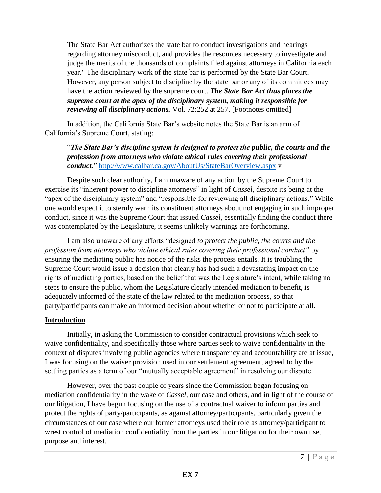The State Bar Act authorizes the state bar to conduct investigations and hearings regarding attorney misconduct, and provides the resources necessary to investigate and judge the merits of the thousands of complaints filed against attorneys in California each year." The disciplinary work of the state bar is performed by the State Bar Court. However, any person subject to discipline by the state bar or any of its committees may have the action reviewed by the supreme court. *The State Bar Act thus places the supreme court at the apex of the disciplinary system, making it responsible for reviewing all disciplinary actions.* Vol. 72:252 at 257. [Footnotes omitted]

In addition, the California State Bar's website notes the State Bar is an arm of California's Supreme Court, stating:

"*The State Bar's discipline system is designed to protect the public, the courts and the profession from attorneys who violate ethical rules covering their professional conduct.*" <http://www.calbar.ca.gov/AboutUs/StateBarOverview.aspx> v

Despite such clear authority, I am unaware of any action by the Supreme Court to exercise its "inherent power to discipline attorneys" in light of *Cassel,* despite its being at the "apex of the disciplinary system" and "responsible for reviewing all disciplinary actions." While one would expect it to sternly warn its constituent attorneys about not engaging in such improper conduct, since it was the Supreme Court that issued *Cassel,* essentially finding the conduct there was contemplated by the Legislature, it seems unlikely warnings are forthcoming.

I am also unaware of any efforts "designed *to protect the public, the courts and the profession from attorneys who violate ethical rules covering their professional conduct"* by ensuring the mediating public has notice of the risks the process entails. It is troubling the Supreme Court would issue a decision that clearly has had such a devastating impact on the rights of mediating parties, based on the belief that was the Legislature's intent, while taking no steps to ensure the public, whom the Legislature clearly intended mediation to benefit, is adequately informed of the state of the law related to the mediation process, so that party/participants can make an informed decision about whether or not to participate at all.

#### **Introduction**

Initially, in asking the Commission to consider contractual provisions which seek to waive confidentiality, and specifically those where parties seek to waive confidentiality in the context of disputes involving public agencies where transparency and accountability are at issue, I was focusing on the waiver provision used in our settlement agreement, agreed to by the settling parties as a term of our "mutually acceptable agreement" in resolving our dispute.

However, over the past couple of years since the Commission began focusing on mediation confidentiality in the wake of *Cassel,* our case and others, and in light of the course of our litigation, I have begun focusing on the use of a contractual waiver to inform parties and protect the rights of party/participants, as against attorney/participants, particularly given the circumstances of our case where our former attorneys used their role as attorney/participant to wrest control of mediation confidentiality from the parties in our litigation for their own use, purpose and interest.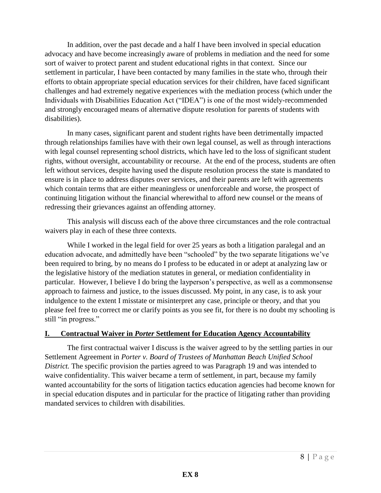In addition, over the past decade and a half I have been involved in special education advocacy and have become increasingly aware of problems in mediation and the need for some sort of waiver to protect parent and student educational rights in that context. Since our settlement in particular, I have been contacted by many families in the state who, through their efforts to obtain appropriate special education services for their children, have faced significant challenges and had extremely negative experiences with the mediation process (which under the Individuals with Disabilities Education Act ("IDEA") is one of the most widely-recommended and strongly encouraged means of alternative dispute resolution for parents of students with disabilities).

In many cases, significant parent and student rights have been detrimentally impacted through relationships families have with their own legal counsel, as well as through interactions with legal counsel representing school districts, which have led to the loss of significant student rights, without oversight, accountability or recourse. At the end of the process, students are often left without services, despite having used the dispute resolution process the state is mandated to ensure is in place to address disputes over services, and their parents are left with agreements which contain terms that are either meaningless or unenforceable and worse, the prospect of continuing litigation without the financial wherewithal to afford new counsel or the means of redressing their grievances against an offending attorney.

This analysis will discuss each of the above three circumstances and the role contractual waivers play in each of these three contexts.

While I worked in the legal field for over 25 years as both a litigation paralegal and an education advocate, and admittedly have been "schooled" by the two separate litigations we've been required to bring, by no means do I profess to be educated in or adept at analyzing law or the legislative history of the mediation statutes in general, or mediation confidentiality in particular. However, I believe I do bring the layperson's perspective, as well as a commonsense approach to fairness and justice, to the issues discussed. My point, in any case, is to ask your indulgence to the extent I misstate or misinterpret any case, principle or theory, and that you please feel free to correct me or clarify points as you see fit, for there is no doubt my schooling is still "in progress."

#### **I. Contractual Waiver in** *Porter* **Settlement for Education Agency Accountability**

The first contractual waiver I discuss is the waiver agreed to by the settling parties in our Settlement Agreement in *Porter v. Board of Trustees of Manhattan Beach Unified School District.* The specific provision the parties agreed to was Paragraph 19 and was intended to waive confidentiality. This waiver became a term of settlement, in part, because my family wanted accountability for the sorts of litigation tactics education agencies had become known for in special education disputes and in particular for the practice of litigating rather than providing mandated services to children with disabilities.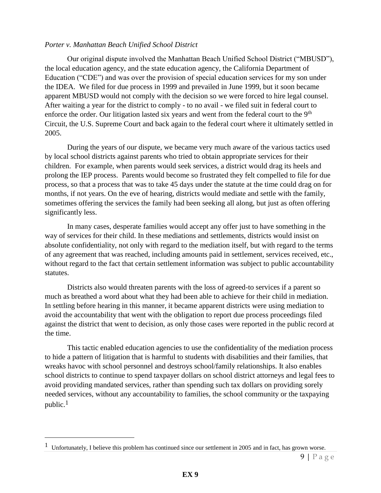#### *Porter v. Manhattan Beach Unified School District*

Our original dispute involved the Manhattan Beach Unified School District ("MBUSD"), the local education agency, and the state education agency, the California Department of Education ("CDE") and was over the provision of special education services for my son under the IDEA. We filed for due process in 1999 and prevailed in June 1999, but it soon became apparent MBUSD would not comply with the decision so we were forced to hire legal counsel. After waiting a year for the district to comply - to no avail - we filed suit in federal court to enforce the order. Our litigation lasted six years and went from the federal court to the 9<sup>th</sup> Circuit, the U.S. Supreme Court and back again to the federal court where it ultimately settled in 2005.

During the years of our dispute, we became very much aware of the various tactics used by local school districts against parents who tried to obtain appropriate services for their children. For example, when parents would seek services, a district would drag its heels and prolong the IEP process. Parents would become so frustrated they felt compelled to file for due process, so that a process that was to take 45 days under the statute at the time could drag on for months, if not years. On the eve of hearing, districts would mediate and settle with the family, sometimes offering the services the family had been seeking all along, but just as often offering significantly less.

In many cases, desperate families would accept any offer just to have something in the way of services for their child. In these mediations and settlements, districts would insist on absolute confidentiality, not only with regard to the mediation itself, but with regard to the terms of any agreement that was reached, including amounts paid in settlement, services received, etc., without regard to the fact that certain settlement information was subject to public accountability statutes.

Districts also would threaten parents with the loss of agreed-to services if a parent so much as breathed a word about what they had been able to achieve for their child in mediation. In settling before hearing in this manner, it became apparent districts were using mediation to avoid the accountability that went with the obligation to report due process proceedings filed against the district that went to decision, as only those cases were reported in the public record at the time.

This tactic enabled education agencies to use the confidentiality of the mediation process to hide a pattern of litigation that is harmful to students with disabilities and their families, that wreaks havoc with school personnel and destroys school/family relationships. It also enables school districts to continue to spend taxpayer dollars on school district attorneys and legal fees to avoid providing mandated services, rather than spending such tax dollars on providing sorely needed services, without any accountability to families, the school community or the taxpaying public.<sup>1</sup> 

 $\overline{a}$ 

<sup>&</sup>lt;sup>1</sup> Unfortunately, I believe this problem has continued since our settlement in 2005 and in fact, has grown worse.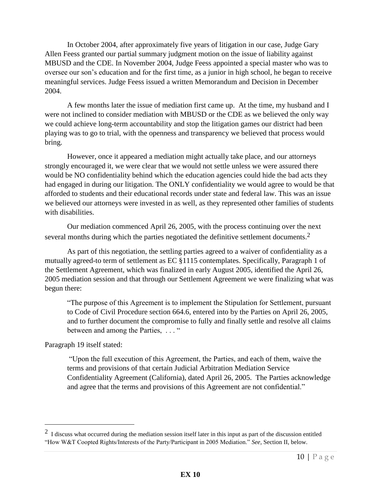In October 2004, after approximately five years of litigation in our case, Judge Gary Allen Feess granted our partial summary judgment motion on the issue of liability against MBUSD and the CDE. In November 2004, Judge Feess appointed a special master who was to oversee our son's education and for the first time, as a junior in high school, he began to receive meaningful services. Judge Feess issued a written Memorandum and Decision in December 2004.

A few months later the issue of mediation first came up. At the time, my husband and I were not inclined to consider mediation with MBUSD or the CDE as we believed the only way we could achieve long-term accountability and stop the litigation games our district had been playing was to go to trial, with the openness and transparency we believed that process would bring.

However, once it appeared a mediation might actually take place, and our attorneys strongly encouraged it, we were clear that we would not settle unless we were assured there would be NO confidentiality behind which the education agencies could hide the bad acts they had engaged in during our litigation. The ONLY confidentiality we would agree to would be that afforded to students and their educational records under state and federal law. This was an issue we believed our attorneys were invested in as well, as they represented other families of students with disabilities.

Our mediation commenced April 26, 2005, with the process continuing over the next several months during which the parties negotiated the definitive settlement documents.<sup>2</sup>

As part of this negotiation, the settling parties agreed to a waiver of confidentiality as a mutually agreed-to term of settlement as EC §1115 contemplates. Specifically, Paragraph 1 of the Settlement Agreement, which was finalized in early August 2005, identified the April 26, 2005 mediation session and that through our Settlement Agreement we were finalizing what was begun there:

"The purpose of this Agreement is to implement the Stipulation for Settlement, pursuant to Code of Civil Procedure section 664.6, entered into by the Parties on April 26, 2005, and to further document the compromise to fully and finally settle and resolve all claims between and among the Parties, ... "

Paragraph 19 itself stated:

 $\overline{a}$ 

"Upon the full execution of this Agreement, the Parties, and each of them, waive the terms and provisions of that certain Judicial Arbitration Mediation Service Confidentiality Agreement (California), dated April 26, 2005. The Parties acknowledge and agree that the terms and provisions of this Agreement are not confidential."

 $2\,$  I discuss what occurred during the mediation session itself later in this input as part of the discussion entitled "How W&T Coopted Rights/Interests of the Party/Participant in 2005 Mediation." *See,* Section II, below.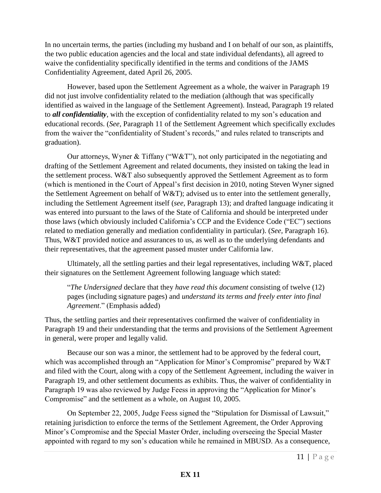In no uncertain terms, the parties (including my husband and I on behalf of our son, as plaintiffs, the two public education agencies and the local and state individual defendants), all agreed to waive the confidentiality specifically identified in the terms and conditions of the JAMS Confidentiality Agreement, dated April 26, 2005.

However, based upon the Settlement Agreement as a whole, the waiver in Paragraph 19 did not just involve confidentiality related to the mediation (although that was specifically identified as waived in the language of the Settlement Agreement). Instead, Paragraph 19 related to *all confidentiality*, with the exception of confidentiality related to my son's education and educational records. (*See,* Paragraph 11 of the Settlement Agreement which specifically excludes from the waiver the "confidentiality of Student's records," and rules related to transcripts and graduation).

Our attorneys, Wyner & Tiffany ("W&T"), not only participated in the negotiating and drafting of the Settlement Agreement and related documents, they insisted on taking the lead in the settlement process. W&T also subsequently approved the Settlement Agreement as to form (which is mentioned in the Court of Appeal's first decision in 2010, noting Steven Wyner signed the Settlement Agreement on behalf of W&T); advised us to enter into the settlement generally, including the Settlement Agreement itself (*see,* Paragraph 13); and drafted language indicating it was entered into pursuant to the laws of the State of California and should be interpreted under those laws (which obviously included California's CCP and the Evidence Code ("EC") sections related to mediation generally and mediation confidentiality in particular). (*See,* Paragraph 16). Thus, W&T provided notice and assurances to us, as well as to the underlying defendants and their representatives, that the agreement passed muster under California law.

Ultimately, all the settling parties and their legal representatives, including W&T, placed their signatures on the Settlement Agreement following language which stated:

"*The Undersigned* declare that they *have read this document* consisting of twelve (12) pages (including signature pages) and *understand its terms and freely enter into final Agreement*." (Emphasis added)

Thus, the settling parties and their representatives confirmed the waiver of confidentiality in Paragraph 19 and their understanding that the terms and provisions of the Settlement Agreement in general, were proper and legally valid.

Because our son was a minor, the settlement had to be approved by the federal court, which was accomplished through an "Application for Minor's Compromise" prepared by W&T and filed with the Court, along with a copy of the Settlement Agreement, including the waiver in Paragraph 19, and other settlement documents as exhibits. Thus, the waiver of confidentiality in Paragraph 19 was also reviewed by Judge Feess in approving the "Application for Minor's Compromise" and the settlement as a whole, on August 10, 2005.

On September 22, 2005, Judge Feess signed the "Stipulation for Dismissal of Lawsuit," retaining jurisdiction to enforce the terms of the Settlement Agreement, the Order Approving Minor's Compromise and the Special Master Order, including overseeing the Special Master appointed with regard to my son's education while he remained in MBUSD. As a consequence,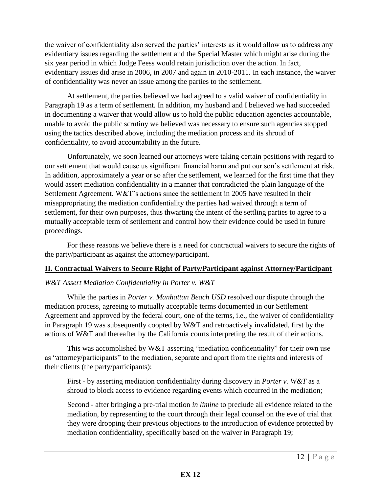the waiver of confidentiality also served the parties' interests as it would allow us to address any evidentiary issues regarding the settlement and the Special Master which might arise during the six year period in which Judge Feess would retain jurisdiction over the action. In fact, evidentiary issues did arise in 2006, in 2007 and again in 2010-2011. In each instance, the waiver of confidentiality was never an issue among the parties to the settlement.

At settlement, the parties believed we had agreed to a valid waiver of confidentiality in Paragraph 19 as a term of settlement. In addition, my husband and I believed we had succeeded in documenting a waiver that would allow us to hold the public education agencies accountable, unable to avoid the public scrutiny we believed was necessary to ensure such agencies stopped using the tactics described above, including the mediation process and its shroud of confidentiality, to avoid accountability in the future.

Unfortunately, we soon learned our attorneys were taking certain positions with regard to our settlement that would cause us significant financial harm and put our son's settlement at risk. In addition, approximately a year or so after the settlement, we learned for the first time that they would assert mediation confidentiality in a manner that contradicted the plain language of the Settlement Agreement. W&T's actions since the settlement in 2005 have resulted in their misappropriating the mediation confidentiality the parties had waived through a term of settlement, for their own purposes, thus thwarting the intent of the settling parties to agree to a mutually acceptable term of settlement and control how their evidence could be used in future proceedings.

For these reasons we believe there is a need for contractual waivers to secure the rights of the party/participant as against the attorney/participant.

#### **II. Contractual Waivers to Secure Right of Party/Participant against Attorney/Participant**

#### *W&T Assert Mediation Confidentiality in Porter v. W&T*

While the parties in *Porter v. Manhattan Beach USD* resolved our dispute through the mediation process, agreeing to mutually acceptable terms documented in our Settlement Agreement and approved by the federal court, one of the terms, i.e., the waiver of confidentiality in Paragraph 19 was subsequently coopted by W&T and retroactively invalidated, first by the actions of W&T and thereafter by the California courts interpreting the result of their actions.

This was accomplished by W&T asserting "mediation confidentiality" for their own use as "attorney/participants" to the mediation, separate and apart from the rights and interests of their clients (the party/participants):

First - by asserting mediation confidentiality during discovery in *Porter v. W&T* as a shroud to block access to evidence regarding events which occurred in the mediation;

Second - after bringing a pre-trial motion *in limine* to preclude all evidence related to the mediation, by representing to the court through their legal counsel on the eve of trial that they were dropping their previous objections to the introduction of evidence protected by mediation confidentiality, specifically based on the waiver in Paragraph 19;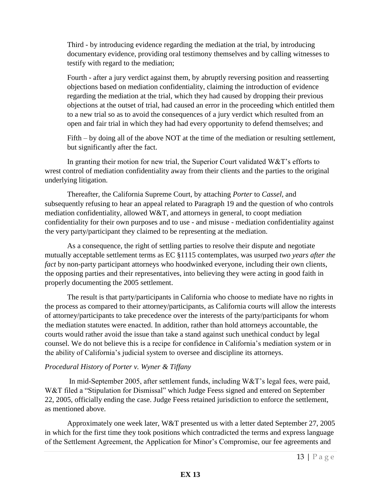Third - by introducing evidence regarding the mediation at the trial, by introducing documentary evidence, providing oral testimony themselves and by calling witnesses to testify with regard to the mediation;

Fourth - after a jury verdict against them, by abruptly reversing position and reasserting objections based on mediation confidentiality, claiming the introduction of evidence regarding the mediation at the trial, which they had caused by dropping their previous objections at the outset of trial, had caused an error in the proceeding which entitled them to a new trial so as to avoid the consequences of a jury verdict which resulted from an open and fair trial in which they had had every opportunity to defend themselves; and

Fifth – by doing all of the above NOT at the time of the mediation or resulting settlement, but significantly after the fact.

In granting their motion for new trial, the Superior Court validated W&T's efforts to wrest control of mediation confidentiality away from their clients and the parties to the original underlying litigation.

Thereafter, the California Supreme Court, by attaching *Porter* to *Cassel,* and subsequently refusing to hear an appeal related to Paragraph 19 and the question of who controls mediation confidentiality, allowed W&T, and attorneys in general, to coopt mediation confidentiality for their own purposes and to use - and misuse - mediation confidentiality against the very party/participant they claimed to be representing at the mediation.

As a consequence, the right of settling parties to resolve their dispute and negotiate mutually acceptable settlement terms as EC §1115 contemplates, was usurped *two years after the fact* by non-party participant attorneys who hoodwinked everyone, including their own clients, the opposing parties and their representatives, into believing they were acting in good faith in properly documenting the 2005 settlement.

The result is that party/participants in California who choose to mediate have no rights in the process as compared to their attorney/participants, as California courts will allow the interests of attorney/participants to take precedence over the interests of the party/participants for whom the mediation statutes were enacted. In addition, rather than hold attorneys accountable, the courts would rather avoid the issue than take a stand against such unethical conduct by legal counsel. We do not believe this is a recipe for confidence in California's mediation system or in the ability of California's judicial system to oversee and discipline its attorneys.

#### *Procedural History of Porter v. Wyner & Tiffany*

 In mid-September 2005, after settlement funds, including W&T's legal fees, were paid, W&T filed a "Stipulation for Dismissal" which Judge Feess signed and entered on September 22, 2005, officially ending the case. Judge Feess retained jurisdiction to enforce the settlement, as mentioned above.

Approximately one week later, W&T presented us with a letter dated September 27, 2005 in which for the first time they took positions which contradicted the terms and express language of the Settlement Agreement, the Application for Minor's Compromise, our fee agreements and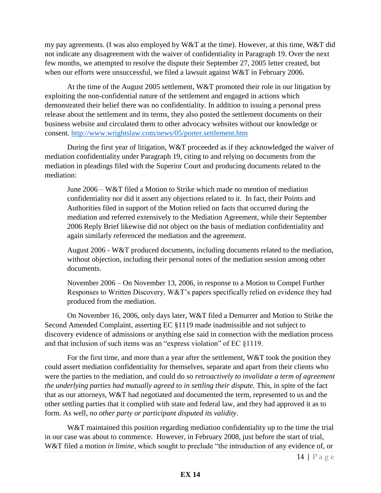my pay agreements. (I was also employed by W&T at the time). However, at this time, W&T did not indicate any disagreement with the waiver of confidentiality in Paragraph 19. Over the next few months, we attempted to resolve the dispute their September 27, 2005 letter created, but when our efforts were unsuccessful, we filed a lawsuit against W&T in February 2006.

At the time of the August 2005 settlement, W&T promoted their role in our litigation by exploiting the non-confidential nature of the settlement and engaged in actions which demonstrated their belief there was no confidentiality. In addition to issuing a personal press release about the settlement and its terms, they also posted the settlement documents on their business website and circulated them to other advocacy websites without our knowledge or consent.<http://www.wrightslaw.com/news/05/porter.settlement.htm>

During the first year of litigation, W&T proceeded as if they acknowledged the waiver of mediation confidentiality under Paragraph 19, citing to and relying on documents from the mediation in pleadings filed with the Superior Court and producing documents related to the mediation:

June 2006 – W&T filed a Motion to Strike which made no mention of mediation confidentiality nor did it assert any objections related to it. In fact, their Points and Authorities filed in support of the Motion relied on facts that occurred during the mediation and referred extensively to the Mediation Agreement, while their September 2006 Reply Brief likewise did not object on the basis of mediation confidentiality and again similarly referenced the mediation and the agreement.

August 2006 - W&T produced documents, including documents related to the mediation, without objection, including their personal notes of the mediation session among other documents.

November 2006 – On November 13, 2006, in response to a Motion to Compel Further Responses to Written Discovery, W&T's papers specifically relied on evidence they had produced from the mediation.

On November 16, 2006, only days later, W&T filed a Demurrer and Motion to Strike the Second Amended Complaint, asserting EC §1119 made inadmissible and not subject to discovery evidence of admissions or anything else said in connection with the mediation process and that inclusion of such items was an "express violation" of EC §1119.

For the first time, and more than a year after the settlement,  $W&T$  took the position they could assert mediation confidentiality for themselves, separate and apart from their clients who were the parties to the mediation, and could do so *retroactively to invalidate a term of agreement the underlying parties had mutually agreed to in settling their dispute.* This, in spite of the fact that as our attorneys, W&T had negotiated and documented the term, represented to us and the other settling parties that it complied with state and federal law, and they had approved it as to form. As well, *no other party or participant disputed its validity*.

W&T maintained this position regarding mediation confidentiality up to the time the trial in our case was about to commence. However, in February 2008, just before the start of trial, W&T filed a motion *in limine*, which sought to preclude "the introduction of any evidence of, or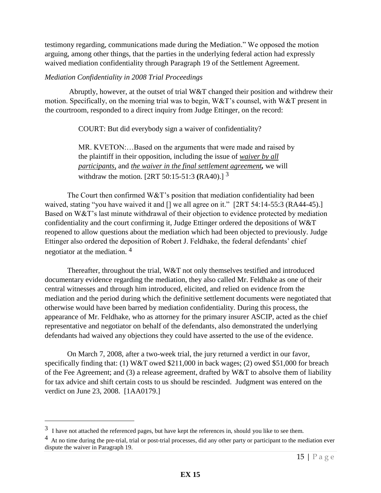testimony regarding, communications made during the Mediation." We opposed the motion arguing, among other things, that the parties in the underlying federal action had expressly waived mediation confidentiality through Paragraph 19 of the Settlement Agreement.

#### *Mediation Confidentiality in 2008 Trial Proceedings*

 Abruptly, however, at the outset of trial W&T changed their position and withdrew their motion. Specifically, on the morning trial was to begin, W&T's counsel, with W&T present in the courtroom, responded to a direct inquiry from Judge Ettinger, on the record:

COURT: But did everybody sign a waiver of confidentiality?

MR. KVETON:…Based on the arguments that were made and raised by the plaintiff in their opposition, including the issue of *waiver by all participants,* and *the waiver in the final settlement agreement,* we will withdraw the motion. [2RT 50:15-51:3 **(**RA40).] <sup>3</sup>

The Court then confirmed W&T's position that mediation confidentiality had been waived, stating "you have waived it and [] we all agree on it." [2RT 54:14-55:3 (RA44-45).] Based on W&T's last minute withdrawal of their objection to evidence protected by mediation confidentiality and the court confirming it, Judge Ettinger ordered the depositions of W&T reopened to allow questions about the mediation which had been objected to previously. Judge Ettinger also ordered the deposition of Robert J. Feldhake, the federal defendants' chief negotiator at the mediation. <sup>4</sup>

Thereafter, throughout the trial, W&T not only themselves testified and introduced documentary evidence regarding the mediation, they also called Mr. Feldhake as one of their central witnesses and through him introduced, elicited, and relied on evidence from the mediation and the period during which the definitive settlement documents were negotiated that otherwise would have been barred by mediation confidentiality. During this process, the appearance of Mr. Feldhake, who as attorney for the primary insurer ASCIP, acted as the chief representative and negotiator on behalf of the defendants, also demonstrated the underlying defendants had waived any objections they could have asserted to the use of the evidence.

 On March 7, 2008, after a two-week trial, the jury returned a verdict in our favor, specifically finding that: (1) W&T owed \$211,000 in back wages; (2) owed \$51,000 for breach of the Fee Agreement; and (3) a release agreement, drafted by W&T to absolve them of liability for tax advice and shift certain costs to us should be rescinded. Judgment was entered on the verdict on June 23, 2008. [1AA0179.]

 $\overline{a}$ 

 $3\,$  I have not attached the referenced pages, but have kept the references in, should you like to see them.

 $4\,$  At no time during the pre-trial, trial or post-trial processes, did any other party or participant to the mediation ever dispute the waiver in Paragraph 19.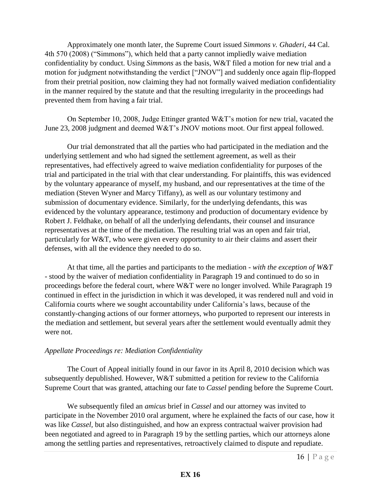Approximately one month later, the Supreme Court issued *Simmons v. Ghaderi*, 44 Cal. 4th 570 (2008) ("Simmons"), which held that a party cannot impliedly waive mediation confidentiality by conduct. Using *Simmons* as the basis, W&T filed a motion for new trial and a motion for judgment notwithstanding the verdict ["JNOV"] and suddenly once again flip-flopped from their pretrial position, now claiming they had not formally waived mediation confidentiality in the manner required by the statute and that the resulting irregularity in the proceedings had prevented them from having a fair trial.

On September 10, 2008, Judge Ettinger granted W&T's motion for new trial, vacated the June 23, 2008 judgment and deemed W&T's JNOV motions moot. Our first appeal followed.

 Our trial demonstrated that all the parties who had participated in the mediation and the underlying settlement and who had signed the settlement agreement, as well as their representatives, had effectively agreed to waive mediation confidentiality for purposes of the trial and participated in the trial with that clear understanding. For plaintiffs, this was evidenced by the voluntary appearance of myself, my husband, and our representatives at the time of the mediation (Steven Wyner and Marcy Tiffany), as well as our voluntary testimony and submission of documentary evidence. Similarly, for the underlying defendants, this was evidenced by the voluntary appearance, testimony and production of documentary evidence by Robert J. Feldhake, on behalf of all the underlying defendants, their counsel and insurance representatives at the time of the mediation. The resulting trial was an open and fair trial, particularly for W&T, who were given every opportunity to air their claims and assert their defenses, with all the evidence they needed to do so.

At that time, all the parties and participants to the mediation - *with the exception of W&T -* stood by the waiver of mediation confidentiality in Paragraph 19 and continued to do so in proceedings before the federal court, where W&T were no longer involved. While Paragraph 19 continued in effect in the jurisdiction in which it was developed, it was rendered null and void in California courts where we sought accountability under California's laws, because of the constantly-changing actions of our former attorneys, who purported to represent our interests in the mediation and settlement, but several years after the settlement would eventually admit they were not.

#### *Appellate Proceedings re: Mediation Confidentiality*

The Court of Appeal initially found in our favor in its April 8, 2010 decision which was subsequently depublished. However, W&T submitted a petition for review to the California Supreme Court that was granted, attaching our fate to *Cassel* pending before the Supreme Court*.* 

We subsequently filed an *amicus* brief in *Cassel* and our attorney was invited to participate in the November 2010 oral argument, where he explained the facts of our case, how it was like *Cassel,* but also distinguished*,* and how an express contractual waiver provision had been negotiated and agreed to in Paragraph 19 by the settling parties, which our attorneys alone among the settling parties and representatives, retroactively claimed to dispute and repudiate.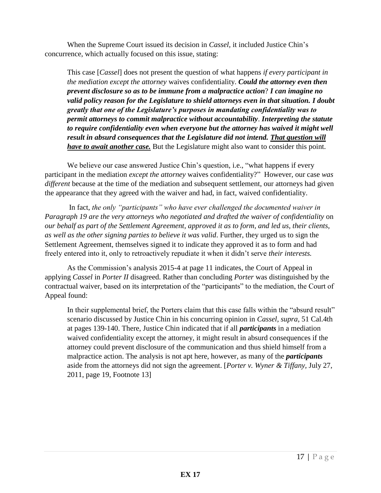When the Supreme Court issued its decision in *Cassel,* it included Justice Chin's concurrence, which actually focused on this issue, stating:

This case [*Cassel*] does not present the question of what happens *if every participant in the mediation except the attorney* waives confidentiality. *Could the attorney even then prevent disclosure so as to be immune from a malpractice action*? *I can imagine no valid policy reason for the Legislature to shield attorneys even in that situation. I doubt greatly that one of the Legislature's purposes in mandating confidentiality was to permit attorneys to commit malpractice without accountability*. *Interpreting the statute to require confidentiality even when everyone but the attorney has waived it might well result in absurd consequences that the Legislature did not intend. That question will have to await another case.* But the Legislature might also want to consider this point.

We believe our case answered Justice Chin's question, i.e., "what happens if every" participant in the mediation *except the attorney* waives confidentiality?" However, our case *was different* because at the time of the mediation and subsequent settlement, our attorneys had given the appearance that they agreed with the waiver and had, in fact, waived confidentiality.

 In fact, *the only "participants" who have ever challenged the documented waiver in Paragraph 19 are the very attorneys who negotiated and drafted the waiver of confidentiality* on *our behalf as part of the Settlement Agreement, approved it as to form, and led us, their clients, as well as the other signing parties to believe it was valid*. Further, they urged us to sign the Settlement Agreement, themselves signed it to indicate they approved it as to form and had freely entered into it, only to retroactively repudiate it when it didn't serve *their interests.* 

As the Commission's analysis 2015-4 at page 11 indicates, the Court of Appeal in applying *Cassel* in *Porter II* disagreed. Rather than concluding *Porter* was distinguished by the contractual waiver, based on its interpretation of the "participants" to the mediation, the Court of Appeal found:

In their supplemental brief, the Porters claim that this case falls within the "absurd result" scenario discussed by Justice Chin in his concurring opinion in *Cassel, supra*, 51 Cal.4th at pages 139-140. There, Justice Chin indicated that if all *participants* in a mediation waived confidentiality except the attorney, it might result in absurd consequences if the attorney could prevent disclosure of the communication and thus shield himself from a malpractice action. The analysis is not apt here, however, as many of the *participants* aside from the attorneys did not sign the agreement. [*Porter v. Wyner & Tiffany,* July 27, 2011, page 19, Footnote 13]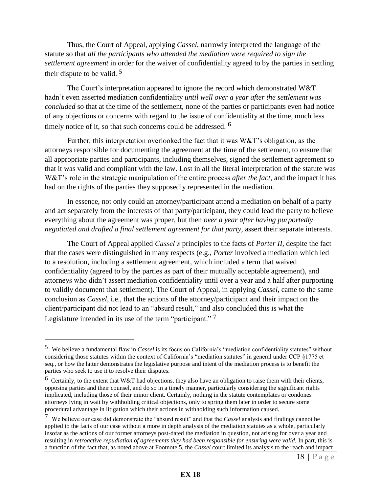Thus, the Court of Appeal, applying *Cassel*, narrowly interpreted the language of the statute so that *all the participants who attended the mediation were required to sign the settlement agreement* in order for the waiver of confidentiality agreed to by the parties in settling their dispute to be valid. <sup>5</sup>

The Court's interpretation appeared to ignore the record which demonstrated W&T hadn't even asserted mediation confidentiality *until well over a year after the settlement was concluded* so that at the time of the settlement, none of the parties or participants even had notice of any objections or concerns with regard to the issue of confidentiality at the time, much less timely notice of it, so that such concerns could be addressed. **<sup>6</sup>**

Further, this interpretation overlooked the fact that it was  $W\&T$ 's obligation, as the attorneys responsible for documenting the agreement at the time of the settlement, to ensure that all appropriate parties and participants, including themselves, signed the settlement agreement so that it was valid and compliant with the law. Lost in all the literal interpretation of the statute was W&T's role in the strategic manipulation of the entire process *after the fact,* and the impact it has had on the rights of the parties they supposedly represented in the mediation.

In essence, not only could an attorney/participant attend a mediation on behalf of a party and act separately from the interests of that party/participant, they could lead the party to believe everything about the agreement was proper, but then *over a year after having purportedly negotiated and drafted a final settlement agreement for that party,* assert their separate interests*.*

The Court of Appeal applied *Cassel's* principles to the facts of *Porter II,* despite the fact that the cases were distinguished in many respects (e.g., *Porter* involved a mediation which led to a resolution, including a settlement agreement, which included a term that waived confidentiality (agreed to by the parties as part of their mutually acceptable agreement), and attorneys who didn't assert mediation confidentiality until over a year and a half after purporting to validly document that settlement). The Court of Appeal, in applying *Cassel,* came to the same conclusion as *Cassel*, i.e., that the actions of the attorney/participant and their impact on the client/participant did not lead to an "absurd result," and also concluded this is what the Legislature intended in its use of the term "participant."<sup>7</sup>

 $\overline{a}$ 

<sup>5</sup> We believe a fundamental flaw in *Cassel* is its focus on California's "mediation confidentiality statutes" without considering those statutes within the context of California's "mediation statutes" in general under CCP §1775 et seq., or how the latter demonstrates the legislative purpose and intent of the mediation process is to benefit the parties who seek to use it to resolve their disputes.

<sup>&</sup>lt;sup>6</sup> Certainly, to the extent that W&T had objections, they also have an obligation to raise them with their clients, opposing parties and their counsel, and do so in a timely manner, particularly considering the significant rights implicated, including those of their minor client. Certainly, nothing in the statute contemplates or condones attorneys lying in wait by withholding critical objections, only to spring them later in order to secure some procedural advantage in litigation which their actions in withholding such information caused.

<sup>7</sup> We believe our case did demonstrate the "absurd result" and that the *Cassel* analysis and findings cannot be applied to the facts of our case without a more in depth analysis of the mediation statutes as a whole, particularly insofar as the actions of our former attorneys post-dated the mediation in question, not arising for over a year and resulting in *retroactive repudiation of agreements they had been responsible for ensuring were valid.* In part, this is a function of the fact that, as noted above at Footnote 5, the *Cassel* court limited its analysis to the reach and impact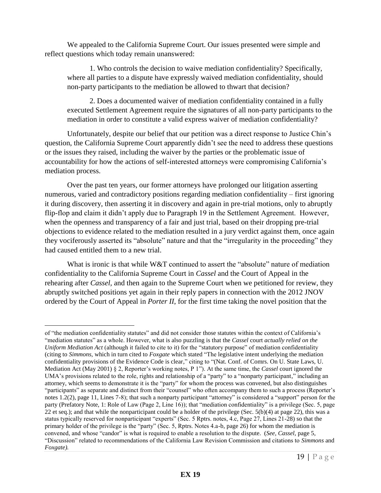We appealed to the California Supreme Court. Our issues presented were simple and reflect questions which today remain unanswered:

1. Who controls the decision to waive mediation confidentiality? Specifically, where all parties to a dispute have expressly waived mediation confidentiality, should non-party participants to the mediation be allowed to thwart that decision?

2. Does a documented waiver of mediation confidentiality contained in a fully executed Settlement Agreement require the signatures of all non-party participants to the mediation in order to constitute a valid express waiver of mediation confidentiality?

Unfortunately, despite our belief that our petition was a direct response to Justice Chin's question, the California Supreme Court apparently didn't see the need to address these questions or the issues they raised, including the waiver by the parties or the problematic issue of accountability for how the actions of self-interested attorneys were compromising California's mediation process.

Over the past ten years, our former attorneys have prolonged our litigation asserting numerous, varied and contradictory positions regarding mediation confidentiality – first ignoring it during discovery, then asserting it in discovery and again in pre-trial motions, only to abruptly flip-flop and claim it didn't apply due to Paragraph 19 in the Settlement Agreement. However, when the openness and transparency of a fair and just trial, based on their dropping pre-trial objections to evidence related to the mediation resulted in a jury verdict against them, once again they vociferously asserted its "absolute" nature and that the "irregularity in the proceeding" they had caused entitled them to a new trial.

What is ironic is that while W&T continued to assert the "absolute" nature of mediation confidentiality to the California Supreme Court in *Cassel* and the Court of Appeal in the rehearing after *Cassel,* and then again to the Supreme Court when we petitioned for review, they abruptly switched positions yet again in their reply papers in connection with the 2012 JNOV ordered by the Court of Appeal in *Porter II*, for the first time taking the novel position that the

 $\overline{a}$ 

of "the mediation confidentiality statutes" and did not consider those statutes within the context of California's "mediation statutes" as a whole. However, what is also puzzling is that the *Cassel* court *actually relied on the Uniform Mediation Act* (although it failed to cite to it) for the "statutory purpose" of mediation confidentiality (citing to *Simmons,* which in turn cited to *Foxgate* which stated "The legislative intent underlying the mediation confidentiality provisions of the Evidence Code is clear," citing to "(Nat. Conf. of Comrs. On U. State Laws, U. Mediation Act (May 2001) § 2, Reporter's working notes, P 1"). At the same time, the *Cassel* court ignored the UMA's provisions related to the role, rights and relationship of a "party" to a "nonparty participant," including an attorney, which seems to demonstrate it is the "party" for whom the process was convened, but also distinguishes "participants" as separate and distinct from their "counsel" who often accompany them to such a process (Reporter's notes 1.2(2), page 11, Lines 7-8); that such a nonparty participant "attorney" is considered a "support" person for the party (Prefatory Note, 1: Role of Law (Page 2, Line 16)); that "mediation confidentiality" is a privilege (Sec. 5, page 22 et seq.); and that while the nonparticipant could be a holder of the privilege (Sec.  $5(b)(4)$  at page 22), this was a status typically reserved for nonparticipant "experts" (Sec. 5 Rptrs. notes, 4.c, Page 27, Lines 21-28) so that the primary holder of the privilege is the "party" (Sec. 5, Rptrs. Notes 4.a-b, page 26) for whom the mediation is convened, and whose "candor" is what is required to enable a resolution to the dispute. (*See, Cassel,* page 5, "Discussion" related to recommendations of the California Law Revision Commission and citations to *Simmons* and *Foxgate).*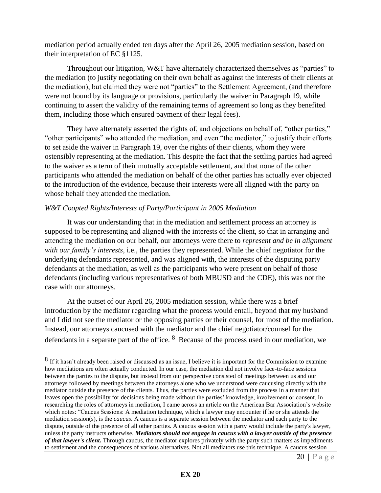mediation period actually ended ten days after the April 26, 2005 mediation session, based on their interpretation of EC §1125.

Throughout our litigation, W&T have alternately characterized themselves as "parties" to the mediation (to justify negotiating on their own behalf as against the interests of their clients at the mediation), but claimed they were not "parties" to the Settlement Agreement, (and therefore were not bound by its language or provisions, particularly the waiver in Paragraph 19, while continuing to assert the validity of the remaining terms of agreement so long as they benefited them, including those which ensured payment of their legal fees).

They have alternately asserted the rights of, and objections on behalf of, "other parties," "other participants" who attended the mediation, and even "the mediator," to justify their efforts to set aside the waiver in Paragraph 19, over the rights of their clients, whom they were ostensibly representing at the mediation. This despite the fact that the settling parties had agreed to the waiver as a term of their mutually acceptable settlement, and that none of the other participants who attended the mediation on behalf of the other parties has actually ever objected to the introduction of the evidence, because their interests were all aligned with the party on whose behalf they attended the mediation.

#### *W&T Coopted Rights/Interests of Party/Participant in 2005 Mediation*

 $\overline{a}$ 

It was our understanding that in the mediation and settlement process an attorney is supposed to be representing and aligned with the interests of the client, so that in arranging and attending the mediation on our behalf, our attorneys were there to *represent and be in alignment with our family's interests,* i.e., the parties they represented. While the chief negotiator for the underlying defendants represented, and was aligned with, the interests of the disputing party defendants at the mediation, as well as the participants who were present on behalf of those defendants (including various representatives of both MBUSD and the CDE), this was not the case with our attorneys.

At the outset of our April 26, 2005 mediation session, while there was a brief introduction by the mediator regarding what the process would entail, beyond that my husband and I did not see the mediator or the opposing parties or their counsel, for most of the mediation. Instead, our attorneys caucused with the mediator and the chief negotiator/counsel for the defendants in a separate part of the office. <sup>8</sup> Because of the process used in our mediation, we

<sup>&</sup>lt;sup>8</sup> If it hasn't already been raised or discussed as an issue, I believe it is important for the Commission to examine how mediations are often actually conducted. In our case, the mediation did not involve face-to-face sessions between the parties to the dispute, but instead from our perspective consisted of meetings between us and our attorneys followed by meetings between the attorneys alone who we understood were caucusing directly with the mediator outside the presence of the clients. Thus, the parties were excluded from the process in a manner that leaves open the possibility for decisions being made without the parties' knowledge, involvement or consent. In researching the roles of attorneys in mediation, I came across an article on the American Bar Association's website which notes: "Caucus Sessions: A mediation technique, which a lawyer may encounter if he or she attends the mediation session(s), is the *caucus*. A caucus is a separate session between the mediator and each party to the dispute, outside of the presence of all other parties. A caucus session with a party would include the party's lawyer, unless the party instructs otherwise. *Mediators should not engage in caucus with a lawyer outside of the presence of that lawyer's client.* Through caucus, the mediator explores privately with the party such matters as impediments to settlement and the consequences of various alternatives. Not all mediators use this technique. A caucus session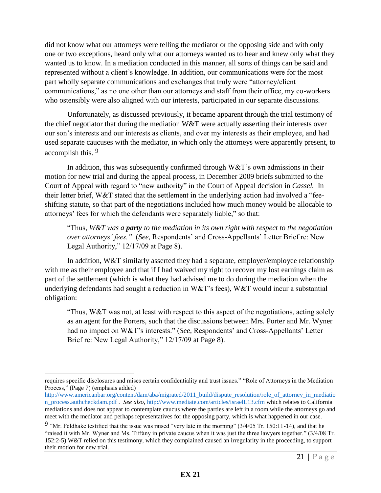did not know what our attorneys were telling the mediator or the opposing side and with only one or two exceptions, heard only what our attorneys wanted us to hear and knew only what they wanted us to know. In a mediation conducted in this manner, all sorts of things can be said and represented without a client's knowledge. In addition, our communications were for the most part wholly separate communications and exchanges that truly were "attorney/client communications," as no one other than our attorneys and staff from their office, my co-workers who ostensibly were also aligned with our interests, participated in our separate discussions.

Unfortunately, as discussed previously, it became apparent through the trial testimony of the chief negotiator that during the mediation W&T were actually asserting their interests over our son's interests and our interests as clients, and over my interests as their employee, and had used separate caucuses with the mediator, in which only the attorneys were apparently present, to accomplish this. <sup>9</sup>

In addition, this was subsequently confirmed through  $W&T$ 's own admissions in their motion for new trial and during the appeal process, in December 2009 briefs submitted to the Court of Appeal with regard to "new authority" in the Court of Appeal decision in *Cassel.* In their letter brief, W&T stated that the settlement in the underlying action had involved a "feeshifting statute, so that part of the negotiations included how much money would be allocable to attorneys' fees for which the defendants were separately liable," so that:

"Thus, *W&T was a party to the mediation in its own right with respect to the negotiation over attorneys' fees."* (*See,* Respondents' and Cross-Appellants' Letter Brief re: New Legal Authority," 12/17/09 at Page 8).

In addition, W&T similarly asserted they had a separate, employer/employee relationship with me as their employee and that if I had waived my right to recover my lost earnings claim as part of the settlement (which is what they had advised me to do during the mediation when the underlying defendants had sought a reduction in W&T's fees), W&T would incur a substantial obligation:

"Thus, W&T was not, at least with respect to this aspect of the negotiations, acting solely as an agent for the Porters, such that the discussions between Mrs. Porter and Mr. Wyner had no impact on W&T's interests." (*See,* Respondents' and Cross-Appellants' Letter Brief re: New Legal Authority," 12/17/09 at Page 8).

 $\overline{a}$ 

requires specific disclosures and raises certain confidentiality and trust issues." "Role of Attorneys in the Mediation Process," (Page 7) (emphasis added)

[http://www.americanbar.org/content/dam/aba/migrated/2011\\_build/dispute\\_resolution/role\\_of\\_attorney\\_in\\_mediatio](http://www.americanbar.org/content/dam/aba/migrated/2011_build/dispute_resolution/role_of_attorney_in_mediation_process.authcheckdam.pdf) [n\\_process.authcheckdam.pdf](http://www.americanbar.org/content/dam/aba/migrated/2011_build/dispute_resolution/role_of_attorney_in_mediation_process.authcheckdam.pdf) . *See also,* <http://www.mediate.com/articles/israelL13.cfm>which relates to California mediations and does not appear to contemplate caucus where the parties are left in a room while the attorneys go and meet with the mediator and perhaps representatives for the opposing party, which is what happened in our case.

<sup>&</sup>lt;sup>9</sup> "Mr. Feldhake testified that the issue was raised "very late in the morning"  $(3/4/05 \text{ Tr. } 150:11$ -14), and that he "raised it with Mr. Wyner and Ms. Tiffany in private caucus when it was just the three lawyers together." (3/4/08 Tr. 152:2-5) W&T relied on this testimony, which they complained caused an irregularity in the proceeding, to support their motion for new trial.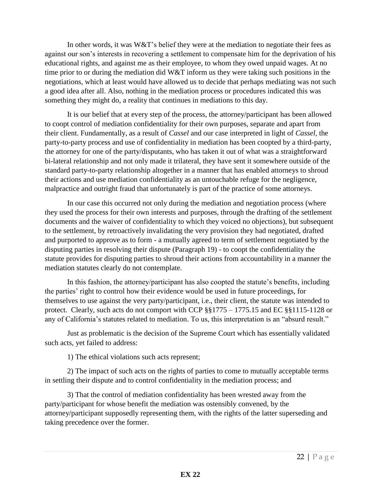In other words, it was  $W&T$ 's belief they were at the mediation to negotiate their fees as against our son's interests in recovering a settlement to compensate him for the deprivation of his educational rights, and against me as their employee, to whom they owed unpaid wages. At no time prior to or during the mediation did W&T inform us they were taking such positions in the negotiations, which at least would have allowed us to decide that perhaps mediating was not such a good idea after all. Also, nothing in the mediation process or procedures indicated this was something they might do, a reality that continues in mediations to this day.

It is our belief that at every step of the process, the attorney/participant has been allowed to coopt control of mediation confidentiality for their own purposes, separate and apart from their client. Fundamentally, as a result of *Cassel* and our case interpreted in light of *Cassel,* the party-to-party process and use of confidentiality in mediation has been coopted by a third-party, the attorney for one of the party/disputants, who has taken it out of what was a straightforward bi-lateral relationship and not only made it trilateral, they have sent it somewhere outside of the standard party-to-party relationship altogether in a manner that has enabled attorneys to shroud their actions and use mediation confidentiality as an untouchable refuge for the negligence, malpractice and outright fraud that unfortunately is part of the practice of some attorneys.

In our case this occurred not only during the mediation and negotiation process (where they used the process for their own interests and purposes, through the drafting of the settlement documents and the waiver of confidentiality to which they voiced no objections), but subsequent to the settlement, by retroactively invalidating the very provision they had negotiated, drafted and purported to approve as to form - a mutually agreed to term of settlement negotiated by the disputing parties in resolving their dispute (Paragraph 19) - to coopt the confidentiality the statute provides for disputing parties to shroud their actions from accountability in a manner the mediation statutes clearly do not contemplate.

In this fashion, the attorney/participant has also coopted the statute's benefits, including the parties' right to control how their evidence would be used in future proceedings, for themselves to use against the very party/participant, i.e., their client, the statute was intended to protect. Clearly, such acts do not comport with CCP §§1775 – 1775.15 and EC §§1115-1128 or any of California's statutes related to mediation. To us, this interpretation is an "absurd result."

Just as problematic is the decision of the Supreme Court which has essentially validated such acts, yet failed to address:

1) The ethical violations such acts represent;

2) The impact of such acts on the rights of parties to come to mutually acceptable terms in settling their dispute and to control confidentiality in the mediation process; and

3) That the control of mediation confidentiality has been wrested away from the party/participant for whose benefit the mediation was ostensibly convened, by the attorney/participant supposedly representing them, with the rights of the latter superseding and taking precedence over the former.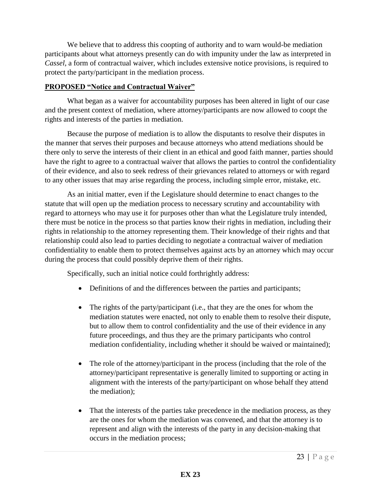We believe that to address this coopting of authority and to warn would-be mediation participants about what attorneys presently can do with impunity under the law as interpreted in *Cassel,* a form of contractual waiver, which includes extensive notice provisions, is required to protect the party/participant in the mediation process.

#### **PROPOSED "Notice and Contractual Waiver"**

What began as a waiver for accountability purposes has been altered in light of our case and the present context of mediation, where attorney/participants are now allowed to coopt the rights and interests of the parties in mediation.

Because the purpose of mediation is to allow the disputants to resolve their disputes in the manner that serves their purposes and because attorneys who attend mediations should be there only to serve the interests of their client in an ethical and good faith manner, parties should have the right to agree to a contractual waiver that allows the parties to control the confidentiality of their evidence, and also to seek redress of their grievances related to attorneys or with regard to any other issues that may arise regarding the process, including simple error, mistake, etc.

As an initial matter, even if the Legislature should determine to enact changes to the statute that will open up the mediation process to necessary scrutiny and accountability with regard to attorneys who may use it for purposes other than what the Legislature truly intended, there must be notice in the process so that parties know their rights in mediation, including their rights in relationship to the attorney representing them. Their knowledge of their rights and that relationship could also lead to parties deciding to negotiate a contractual waiver of mediation confidentiality to enable them to protect themselves against acts by an attorney which may occur during the process that could possibly deprive them of their rights.

Specifically, such an initial notice could forthrightly address:

- Definitions of and the differences between the parties and participants;
- The rights of the party/participant (i.e., that they are the ones for whom the mediation statutes were enacted, not only to enable them to resolve their dispute, but to allow them to control confidentiality and the use of their evidence in any future proceedings, and thus they are the primary participants who control mediation confidentiality, including whether it should be waived or maintained);
- The role of the attorney/participant in the process (including that the role of the attorney/participant representative is generally limited to supporting or acting in alignment with the interests of the party/participant on whose behalf they attend the mediation);
- That the interests of the parties take precedence in the mediation process, as they are the ones for whom the mediation was convened, and that the attorney is to represent and align with the interests of the party in any decision-making that occurs in the mediation process;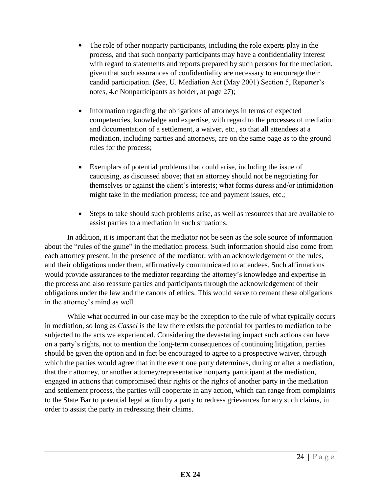- The role of other nonparty participants, including the role experts play in the process, and that such nonparty participants may have a confidentiality interest with regard to statements and reports prepared by such persons for the mediation, given that such assurances of confidentiality are necessary to encourage their candid participation. (*See,* U. Mediation Act (May 2001) Section 5, Reporter's notes, 4.c Nonparticipants as holder, at page 27);
- Information regarding the obligations of attorneys in terms of expected competencies, knowledge and expertise, with regard to the processes of mediation and documentation of a settlement, a waiver, etc., so that all attendees at a mediation, including parties and attorneys, are on the same page as to the ground rules for the process;
- Exemplars of potential problems that could arise, including the issue of caucusing, as discussed above; that an attorney should not be negotiating for themselves or against the client's interests; what forms duress and/or intimidation might take in the mediation process; fee and payment issues, etc.;
- Steps to take should such problems arise, as well as resources that are available to assist parties to a mediation in such situations.

In addition, it is important that the mediator not be seen as the sole source of information about the "rules of the game" in the mediation process. Such information should also come from each attorney present, in the presence of the mediator, with an acknowledgement of the rules, and their obligations under them, affirmatively communicated to attendees. Such affirmations would provide assurances to the mediator regarding the attorney's knowledge and expertise in the process and also reassure parties and participants through the acknowledgement of their obligations under the law and the canons of ethics. This would serve to cement these obligations in the attorney's mind as well.

While what occurred in our case may be the exception to the rule of what typically occurs in mediation, so long as *Cassel* is the law there exists the potential for parties to mediation to be subjected to the acts we experienced. Considering the devastating impact such actions can have on a party's rights, not to mention the long-term consequences of continuing litigation, parties should be given the option and in fact be encouraged to agree to a prospective waiver, through which the parties would agree that in the event one party determines, during or after a mediation, that their attorney, or another attorney/representative nonparty participant at the mediation, engaged in actions that compromised their rights or the rights of another party in the mediation and settlement process, the parties will cooperate in any action, which can range from complaints to the State Bar to potential legal action by a party to redress grievances for any such claims, in order to assist the party in redressing their claims.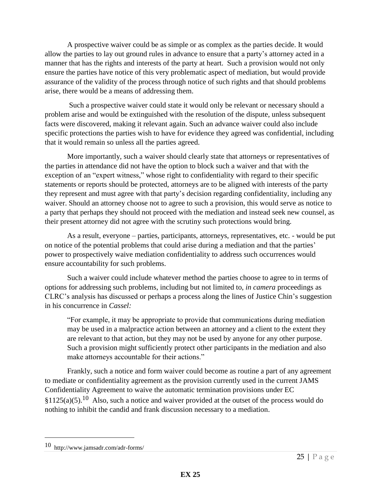A prospective waiver could be as simple or as complex as the parties decide. It would allow the parties to lay out ground rules in advance to ensure that a party's attorney acted in a manner that has the rights and interests of the party at heart. Such a provision would not only ensure the parties have notice of this very problematic aspect of mediation, but would provide assurance of the validity of the process through notice of such rights and that should problems arise, there would be a means of addressing them.

 Such a prospective waiver could state it would only be relevant or necessary should a problem arise and would be extinguished with the resolution of the dispute, unless subsequent facts were discovered, making it relevant again. Such an advance waiver could also include specific protections the parties wish to have for evidence they agreed was confidential, including that it would remain so unless all the parties agreed.

More importantly, such a waiver should clearly state that attorneys or representatives of the parties in attendance did not have the option to block such a waiver and that with the exception of an "expert witness," whose right to confidentiality with regard to their specific statements or reports should be protected, attorneys are to be aligned with interests of the party they represent and must agree with that party's decision regarding confidentiality, including any waiver. Should an attorney choose not to agree to such a provision, this would serve as notice to a party that perhaps they should not proceed with the mediation and instead seek new counsel, as their present attorney did not agree with the scrutiny such protections would bring.

As a result, everyone – parties, participants, attorneys, representatives, etc. - would be put on notice of the potential problems that could arise during a mediation and that the parties' power to prospectively waive mediation confidentiality to address such occurrences would ensure accountability for such problems.

Such a waiver could include whatever method the parties choose to agree to in terms of options for addressing such problems, including but not limited to, *in camera* proceedings as CLRC's analysis has discussed or perhaps a process along the lines of Justice Chin's suggestion in his concurrence in *Cassel:* 

"For example, it may be appropriate to provide that communications during mediation may be used in a malpractice action between an attorney and a client to the extent they are relevant to that action, but they may not be used by anyone for any other purpose. Such a provision might sufficiently protect other participants in the mediation and also make attorneys accountable for their actions."

Frankly, such a notice and form waiver could become as routine a part of any agreement to mediate or confidentiality agreement as the provision currently used in the current JAMS Confidentiality Agreement to waive the automatic termination provisions under EC  $$1125(a)(5).$ <sup>10</sup> Also, such a notice and waiver provided at the outset of the process would do nothing to inhibit the candid and frank discussion necessary to a mediation.

 $\overline{a}$ 

<sup>10</sup> http://www.jamsadr.com/adr-forms/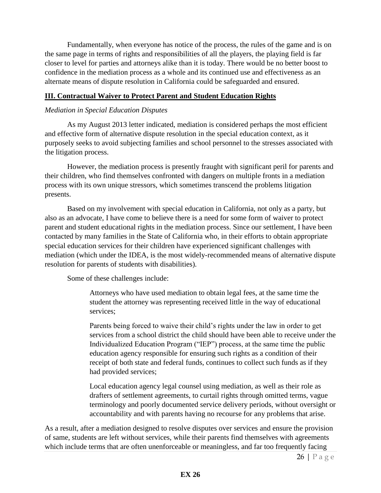Fundamentally, when everyone has notice of the process, the rules of the game and is on the same page in terms of rights and responsibilities of all the players, the playing field is far closer to level for parties and attorneys alike than it is today. There would be no better boost to confidence in the mediation process as a whole and its continued use and effectiveness as an alternate means of dispute resolution in California could be safeguarded and ensured.

#### **III. Contractual Waiver to Protect Parent and Student Education Rights**

#### *Mediation in Special Education Disputes*

 As my August 2013 letter indicated, mediation is considered perhaps the most efficient and effective form of alternative dispute resolution in the special education context, as it purposely seeks to avoid subjecting families and school personnel to the stresses associated with the litigation process.

However, the mediation process is presently fraught with significant peril for parents and their children, who find themselves confronted with dangers on multiple fronts in a mediation process with its own unique stressors, which sometimes transcend the problems litigation presents.

Based on my involvement with special education in California, not only as a party, but also as an advocate, I have come to believe there is a need for some form of waiver to protect parent and student educational rights in the mediation process. Since our settlement, I have been contacted by many families in the State of California who, in their efforts to obtain appropriate special education services for their children have experienced significant challenges with mediation (which under the IDEA, is the most widely-recommended means of alternative dispute resolution for parents of students with disabilities).

Some of these challenges include:

Attorneys who have used mediation to obtain legal fees, at the same time the student the attorney was representing received little in the way of educational services;

Parents being forced to waive their child's rights under the law in order to get services from a school district the child should have been able to receive under the Individualized Education Program ("IEP") process, at the same time the public education agency responsible for ensuring such rights as a condition of their receipt of both state and federal funds, continues to collect such funds as if they had provided services;

Local education agency legal counsel using mediation, as well as their role as drafters of settlement agreements, to curtail rights through omitted terms, vague terminology and poorly documented service delivery periods, without oversight or accountability and with parents having no recourse for any problems that arise.

As a result, after a mediation designed to resolve disputes over services and ensure the provision of same, students are left without services, while their parents find themselves with agreements which include terms that are often unenforceable or meaningless, and far too frequently facing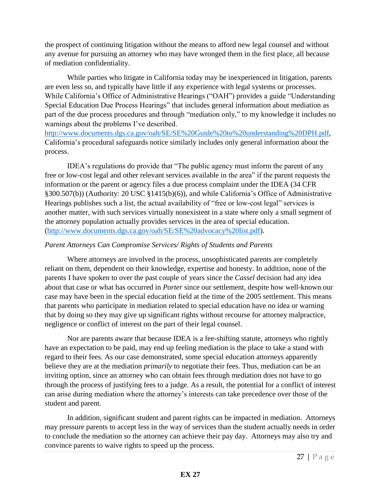the prospect of continuing litigation without the means to afford new legal counsel and without any avenue for pursuing an attorney who may have wronged them in the first place, all because of mediation confidentiality.

 While parties who litigate in California today may be inexperienced in litigation, parents are even less so, and typically have little if any experience with legal systems or processes. While California's Office of Administrative Hearings ("OAH") provides a guide "Understanding Special Education Due Process Hearings" that includes general information about mediation as part of the due process procedures and through "mediation only," to my knowledge it includes no warnings about the problems I've described.

[http://www.documents.dgs.ca.gov/oah/SE/SE%20Guide%20to%20understanding%20DPH.pdf,](http://www.documents.dgs.ca.gov/oah/SE/SE%20Guide%20to%20understanding%20DPH.pdf) California's procedural safeguards notice similarly includes only general information about the process.

IDEA's regulations do provide that "The public agency must inform the parent of any free or low-cost legal and other relevant services available in the area" if the parent requests the information or the parent or agency files a due process complaint under the IDEA (34 CFR §300.507(b)) (Authority: 20 USC §1415(b)(6)), and while California's Office of Administrative Hearings publishes such a list, the actual availability of "free or low-cost legal" services is another matter, with such services virtually nonexistent in a state where only a small segment of the attorney population actually provides services in the area of special education. [\(http://www.documents.dgs.ca.gov/oah/SE/SE%20advocacy%20list.pdf\)](http://www.documents.dgs.ca.gov/oah/SE/SE%20advocacy%20list.pdf).

#### *Parent Attorneys Can Compromise Services/ Rights of Students and Parents*

Where attorneys are involved in the process, unsophisticated parents are completely reliant on them, dependent on their knowledge, expertise and honesty. In addition, none of the parents I have spoken to over the past couple of years since the *Cassel* decision had any idea about that case or what has occurred in *Porter* since our settlement*,* despite how well-known our case may have been in the special education field at the time of the 2005 settlement. This means that parents who participate in mediation related to special education have no idea or warning that by doing so they may give up significant rights without recourse for attorney malpractice, negligence or conflict of interest on the part of their legal counsel.

Nor are parents aware that because IDEA is a fee-shifting statute, attorneys who rightly have an expectation to be paid, may end up feeling mediation is the place to take a stand with regard to their fees. As our case demonstrated, some special education attorneys apparently believe they are at the mediation *primarily* to negotiate their fees. Thus, mediation can be an inviting option, since an attorney who can obtain fees through mediation does not have to go through the process of justifying fees to a judge. As a result, the potential for a conflict of interest can arise during mediation where the attorney's interests can take precedence over those of the student and parent.

In addition, significant student and parent rights can be impacted in mediation. Attorneys may pressure parents to accept less in the way of services than the student actually needs in order to conclude the mediation so the attorney can achieve their pay day. Attorneys may also try and convince parents to waive rights to speed up the process.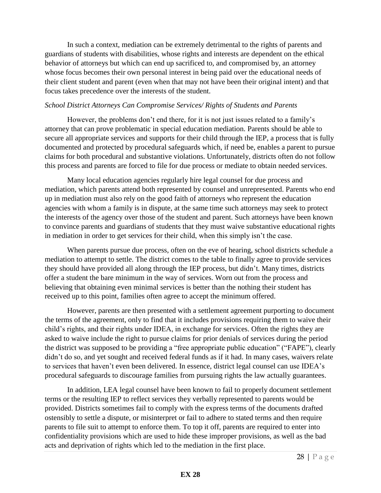In such a context, mediation can be extremely detrimental to the rights of parents and guardians of students with disabilities, whose rights and interests are dependent on the ethical behavior of attorneys but which can end up sacrificed to, and compromised by, an attorney whose focus becomes their own personal interest in being paid over the educational needs of their client student and parent (even when that may not have been their original intent) and that focus takes precedence over the interests of the student.

#### *School District Attorneys Can Compromise Services/ Rights of Students and Parents*

However, the problems don't end there, for it is not just issues related to a family's attorney that can prove problematic in special education mediation. Parents should be able to secure all appropriate services and supports for their child through the IEP, a process that is fully documented and protected by procedural safeguards which, if need be, enables a parent to pursue claims for both procedural and substantive violations. Unfortunately, districts often do not follow this process and parents are forced to file for due process or mediate to obtain needed services.

Many local education agencies regularly hire legal counsel for due process and mediation, which parents attend both represented by counsel and unrepresented. Parents who end up in mediation must also rely on the good faith of attorneys who represent the education agencies with whom a family is in dispute, at the same time such attorneys may seek to protect the interests of the agency over those of the student and parent. Such attorneys have been known to convince parents and guardians of students that they must waive substantive educational rights in mediation in order to get services for their child, when this simply isn't the case.

When parents pursue due process, often on the eve of hearing, school districts schedule a mediation to attempt to settle. The district comes to the table to finally agree to provide services they should have provided all along through the IEP process, but didn't. Many times, districts offer a student the bare minimum in the way of services. Worn out from the process and believing that obtaining even minimal services is better than the nothing their student has received up to this point, families often agree to accept the minimum offered.

However, parents are then presented with a settlement agreement purporting to document the terms of the agreement, only to find that it includes provisions requiring them to waive their child's rights, and their rights under IDEA, in exchange for services. Often the rights they are asked to waive include the right to pursue claims for prior denials of services during the period the district was supposed to be providing a "free appropriate public education" ("FAPE"), clearly didn't do so, and yet sought and received federal funds as if it had. In many cases, waivers relate to services that haven't even been delivered. In essence, district legal counsel can use IDEA's procedural safeguards to discourage families from pursuing rights the law actually guarantees.

In addition, LEA legal counsel have been known to fail to properly document settlement terms or the resulting IEP to reflect services they verbally represented to parents would be provided. Districts sometimes fail to comply with the express terms of the documents drafted ostensibly to settle a dispute, or misinterpret or fail to adhere to stated terms and then require parents to file suit to attempt to enforce them. To top it off, parents are required to enter into confidentiality provisions which are used to hide these improper provisions, as well as the bad acts and deprivation of rights which led to the mediation in the first place.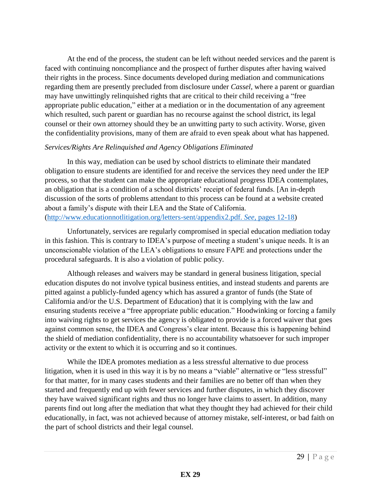At the end of the process, the student can be left without needed services and the parent is faced with continuing noncompliance and the prospect of further disputes after having waived their rights in the process. Since documents developed during mediation and communications regarding them are presently precluded from disclosure under *Cassel*, where a parent or guardian may have unwittingly relinquished rights that are critical to their child receiving a "free appropriate public education," either at a mediation or in the documentation of any agreement which resulted, such parent or guardian has no recourse against the school district, its legal counsel or their own attorney should they be an unwitting party to such activity. Worse, given the confidentiality provisions, many of them are afraid to even speak about what has happened.

#### *Services/Rights Are Relinquished and Agency Obligations Eliminated*

In this way, mediation can be used by school districts to eliminate their mandated obligation to ensure students are identified for and receive the services they need under the IEP process, so that the student can make the appropriate educational progress IDEA contemplates, an obligation that is a condition of a school districts' receipt of federal funds. [An in-depth discussion of the sorts of problems attendant to this process can be found at a website created about a family's dispute with their LEA and the State of California. [\(http://www.educationnotlitigation.org/letters-sent/appendix2.pdf.](http://www.educationnotlitigation.org/letters-sent/appendix2.pdf.%20See,%20pages%2012-18) *See,* pages 12-18)

Unfortunately, services are regularly compromised in special education mediation today in this fashion. This is contrary to IDEA's purpose of meeting a student's unique needs. It is an unconscionable violation of the LEA's obligations to ensure FAPE and protections under the procedural safeguards. It is also a violation of public policy.

Although releases and waivers may be standard in general business litigation, special education disputes do not involve typical business entities, and instead students and parents are pitted against a publicly-funded agency which has assured a grantor of funds (the State of California and/or the U.S. Department of Education) that it is complying with the law and ensuring students receive a "free appropriate public education." Hoodwinking or forcing a family into waiving rights to get services the agency is obligated to provide is a forced waiver that goes against common sense, the IDEA and Congress's clear intent. Because this is happening behind the shield of mediation confidentiality, there is no accountability whatsoever for such improper activity or the extent to which it is occurring and so it continues.

While the IDEA promotes mediation as a less stressful alternative to due process litigation, when it is used in this way it is by no means a "viable" alternative or "less stressful" for that matter, for in many cases students and their families are no better off than when they started and frequently end up with fewer services and further disputes, in which they discover they have waived significant rights and thus no longer have claims to assert. In addition, many parents find out long after the mediation that what they thought they had achieved for their child educationally, in fact, was not achieved because of attorney mistake, self-interest, or bad faith on the part of school districts and their legal counsel.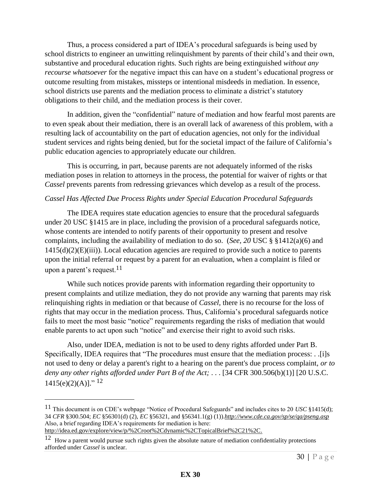Thus, a process considered a part of IDEA's procedural safeguards is being used by school districts to engineer an unwitting relinquishment by parents of their child's and their own, substantive and procedural education rights. Such rights are being extinguished *without any recourse whatsoever* for the negative impact this can have on a student's educational progress or outcome resulting from mistakes, missteps or intentional misdeeds in mediation. In essence, school districts use parents and the mediation process to eliminate a district's statutory obligations to their child, and the mediation process is their cover.

In addition, given the "confidential" nature of mediation and how fearful most parents are to even speak about their mediation, there is an overall lack of awareness of this problem, with a resulting lack of accountability on the part of education agencies, not only for the individual student services and rights being denied, but for the societal impact of the failure of California's public education agencies to appropriately educate our children.

This is occurring, in part, because parents are not adequately informed of the risks mediation poses in relation to attorneys in the process, the potential for waiver of rights or that *Cassel* prevents parents from redressing grievances which develop as a result of the process.

#### *Cassel Has Affected Due Process Rights under Special Education Procedural Safeguards*

The IDEA requires state education agencies to ensure that the procedural safeguards under 20 USC §1415 are in place, including the provision of a procedural safeguards notice, whose contents are intended to notify parents of their opportunity to present and resolve complaints, including the availability of mediation to do so. (*See, 20* USC § §1412(a)(6) and  $1415(d)(2)(E)(iii)$ ). Local education agencies are required to provide such a notice to parents upon the initial referral or request by a parent for an evaluation, when a complaint is filed or upon a parent's request.<sup>11</sup>

While such notices provide parents with information regarding their opportunity to present complaints and utilize mediation, they do not provide any warning that parents may risk relinquishing rights in mediation or that because of *Cassel,* there is no recourse for the loss of rights that may occur in the mediation process. Thus, California's procedural safeguards notice fails to meet the most basic "notice" requirements regarding the risks of mediation that would enable parents to act upon such "notice" and exercise their right to avoid such risks.

Also, under IDEA, mediation is not to be used to deny rights afforded under Part B. Specifically, IDEA requires that "The procedures must ensure that the mediation process: . .[i]s not used to deny or delay a parent's right to a hearing on the parent's due process complaint, *or to deny any other rights afforded under Part B of the Act;* . . . [34 CFR 300.506(b)(1)] [20 U.S.C.  $1415(e)(2)(A)$ ]." <sup>12</sup>

 $\overline{a}$ 

<sup>11</sup> This document is on CDE's webpage "Notice of Procedural Safeguards" and includes cites to 20 *USC* §1415(d); 34 *CFR* §300.504; *EC* §56301(d) (2), *EC* §56321, and §56341.1(g) (1)).*<http://www.cde.ca.gov/sp/se/qa/pseng.asp>* Also, a brief regarding IDEA's requirements for mediation is here:

[http://idea.ed.gov/explore/view/p/%2Croot%2Cdynamic%2CTopicalBrief%2C21%2C.](http://idea.ed.gov/explore/view/p/%2Croot%2Cdynamic%2CTopicalBrief%2C21%2C)

<sup>&</sup>lt;sup>12</sup> How a parent would pursue such rights given the absolute nature of mediation confidentiality protections afforded under *Cassel* is unclear.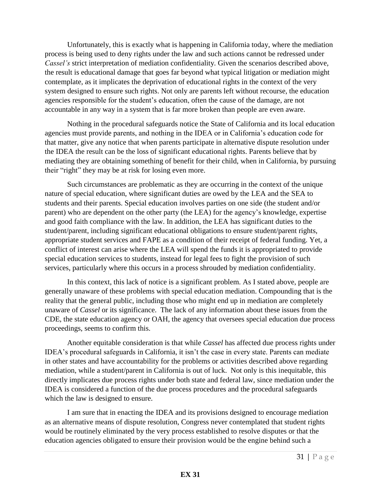Unfortunately, this is exactly what is happening in California today, where the mediation process is being used to deny rights under the law and such actions cannot be redressed under *Cassel's* strict interpretation of mediation confidentiality. Given the scenarios described above, the result is educational damage that goes far beyond what typical litigation or mediation might contemplate, as it implicates the deprivation of educational rights in the context of the very system designed to ensure such rights. Not only are parents left without recourse, the education agencies responsible for the student's education, often the cause of the damage, are not accountable in any way in a system that is far more broken than people are even aware.

Nothing in the procedural safeguards notice the State of California and its local education agencies must provide parents, and nothing in the IDEA or in California's education code for that matter, give any notice that when parents participate in alternative dispute resolution under the IDEA the result can be the loss of significant educational rights. Parents believe that by mediating they are obtaining something of benefit for their child, when in California, by pursuing their "right" they may be at risk for losing even more.

Such circumstances are problematic as they are occurring in the context of the unique nature of special education, where significant duties are owed by the LEA and the SEA to students and their parents. Special education involves parties on one side (the student and/or parent) who are dependent on the other party (the LEA) for the agency's knowledge, expertise and good faith compliance with the law. In addition, the LEA has significant duties to the student/parent, including significant educational obligations to ensure student/parent rights, appropriate student services and FAPE as a condition of their receipt of federal funding. Yet, a conflict of interest can arise where the LEA will spend the funds it is appropriated to provide special education services to students, instead for legal fees to fight the provision of such services, particularly where this occurs in a process shrouded by mediation confidentiality.

In this context, this lack of notice is a significant problem. As I stated above, people are generally unaware of these problems with special education mediation. Compounding that is the reality that the general public, including those who might end up in mediation are completely unaware of *Cassel* or its significance. The lack of any information about these issues from the CDE, the state education agency or OAH, the agency that oversees special education due process proceedings, seems to confirm this.

Another equitable consideration is that while *Cassel* has affected due process rights under IDEA's procedural safeguards in California, it isn't the case in every state. Parents can mediate in other states and have accountability for the problems or activities described above regarding mediation, while a student/parent in California is out of luck. Not only is this inequitable, this directly implicates due process rights under both state and federal law, since mediation under the IDEA is considered a function of the due process procedures and the procedural safeguards which the law is designed to ensure.

I am sure that in enacting the IDEA and its provisions designed to encourage mediation as an alternative means of dispute resolution, Congress never contemplated that student rights would be routinely eliminated by the very process established to resolve disputes or that the education agencies obligated to ensure their provision would be the engine behind such a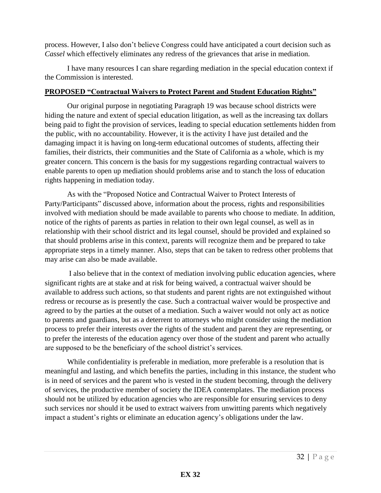process. However, I also don't believe Congress could have anticipated a court decision such as *Cassel* which effectively eliminates any redress of the grievances that arise in mediation.

I have many resources I can share regarding mediation in the special education context if the Commission is interested.

#### **PROPOSED "Contractual Waivers to Protect Parent and Student Education Rights"**

Our original purpose in negotiating Paragraph 19 was because school districts were hiding the nature and extent of special education litigation, as well as the increasing tax dollars being paid to fight the provision of services, leading to special education settlements hidden from the public, with no accountability. However, it is the activity I have just detailed and the damaging impact it is having on long-term educational outcomes of students, affecting their families, their districts, their communities and the State of California as a whole, which is my greater concern. This concern is the basis for my suggestions regarding contractual waivers to enable parents to open up mediation should problems arise and to stanch the loss of education rights happening in mediation today.

As with the "Proposed Notice and Contractual Waiver to Protect Interests of Party/Participants" discussed above, information about the process, rights and responsibilities involved with mediation should be made available to parents who choose to mediate. In addition, notice of the rights of parents as parties in relation to their own legal counsel, as well as in relationship with their school district and its legal counsel, should be provided and explained so that should problems arise in this context, parents will recognize them and be prepared to take appropriate steps in a timely manner. Also, steps that can be taken to redress other problems that may arise can also be made available.

 I also believe that in the context of mediation involving public education agencies, where significant rights are at stake and at risk for being waived, a contractual waiver should be available to address such actions, so that students and parent rights are not extinguished without redress or recourse as is presently the case. Such a contractual waiver would be prospective and agreed to by the parties at the outset of a mediation. Such a waiver would not only act as notice to parents and guardians, but as a deterrent to attorneys who might consider using the mediation process to prefer their interests over the rights of the student and parent they are representing, or to prefer the interests of the education agency over those of the student and parent who actually are supposed to be the beneficiary of the school district's services.

While confidentiality is preferable in mediation, more preferable is a resolution that is meaningful and lasting, and which benefits the parties, including in this instance, the student who is in need of services and the parent who is vested in the student becoming, through the delivery of services, the productive member of society the IDEA contemplates. The mediation process should not be utilized by education agencies who are responsible for ensuring services to deny such services nor should it be used to extract waivers from unwitting parents which negatively impact a student's rights or eliminate an education agency's obligations under the law.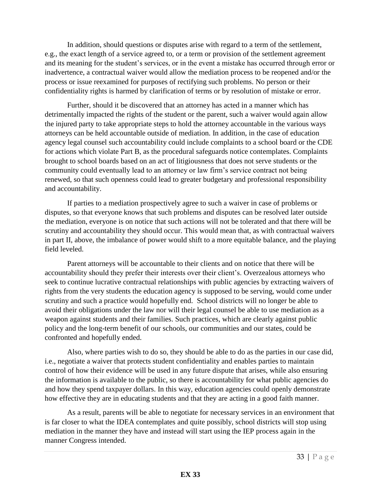In addition, should questions or disputes arise with regard to a term of the settlement, e.g., the exact length of a service agreed to, or a term or provision of the settlement agreement and its meaning for the student's services, or in the event a mistake has occurred through error or inadvertence, a contractual waiver would allow the mediation process to be reopened and/or the process or issue reexamined for purposes of rectifying such problems. No person or their confidentiality rights is harmed by clarification of terms or by resolution of mistake or error.

Further, should it be discovered that an attorney has acted in a manner which has detrimentally impacted the rights of the student or the parent, such a waiver would again allow the injured party to take appropriate steps to hold the attorney accountable in the various ways attorneys can be held accountable outside of mediation. In addition, in the case of education agency legal counsel such accountability could include complaints to a school board or the CDE for actions which violate Part B, as the procedural safeguards notice contemplates. Complaints brought to school boards based on an act of litigiousness that does not serve students or the community could eventually lead to an attorney or law firm's service contract not being renewed, so that such openness could lead to greater budgetary and professional responsibility and accountability.

If parties to a mediation prospectively agree to such a waiver in case of problems or disputes, so that everyone knows that such problems and disputes can be resolved later outside the mediation, everyone is on notice that such actions will not be tolerated and that there will be scrutiny and accountability they should occur. This would mean that, as with contractual waivers in part II, above, the imbalance of power would shift to a more equitable balance, and the playing field leveled.

Parent attorneys will be accountable to their clients and on notice that there will be accountability should they prefer their interests over their client's. Overzealous attorneys who seek to continue lucrative contractual relationships with public agencies by extracting waivers of rights from the very students the education agency is supposed to be serving, would come under scrutiny and such a practice would hopefully end. School districts will no longer be able to avoid their obligations under the law nor will their legal counsel be able to use mediation as a weapon against students and their families. Such practices, which are clearly against public policy and the long-term benefit of our schools, our communities and our states, could be confronted and hopefully ended.

Also, where parties wish to do so, they should be able to do as the parties in our case did, i.e., negotiate a waiver that protects student confidentiality and enables parties to maintain control of how their evidence will be used in any future dispute that arises, while also ensuring the information is available to the public, so there is accountability for what public agencies do and how they spend taxpayer dollars. In this way, education agencies could openly demonstrate how effective they are in educating students and that they are acting in a good faith manner.

As a result, parents will be able to negotiate for necessary services in an environment that is far closer to what the IDEA contemplates and quite possibly, school districts will stop using mediation in the manner they have and instead will start using the IEP process again in the manner Congress intended.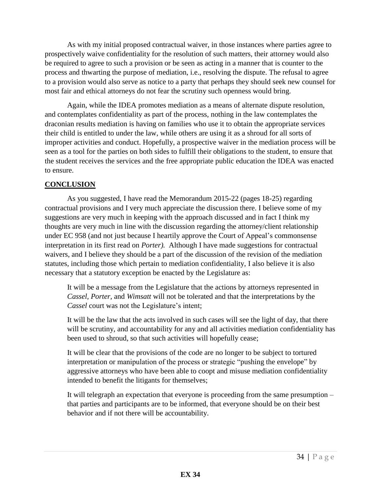As with my initial proposed contractual waiver, in those instances where parties agree to prospectively waive confidentiality for the resolution of such matters, their attorney would also be required to agree to such a provision or be seen as acting in a manner that is counter to the process and thwarting the purpose of mediation, i.e., resolving the dispute. The refusal to agree to a provision would also serve as notice to a party that perhaps they should seek new counsel for most fair and ethical attorneys do not fear the scrutiny such openness would bring.

Again, while the IDEA promotes mediation as a means of alternate dispute resolution, and contemplates confidentiality as part of the process, nothing in the law contemplates the draconian results mediation is having on families who use it to obtain the appropriate services their child is entitled to under the law, while others are using it as a shroud for all sorts of improper activities and conduct. Hopefully, a prospective waiver in the mediation process will be seen as a tool for the parties on both sides to fulfill their obligations to the student, to ensure that the student receives the services and the free appropriate public education the IDEA was enacted to ensure.

#### **CONCLUSION**

As you suggested, I have read the Memorandum 2015-22 (pages 18-25) regarding contractual provisions and I very much appreciate the discussion there. I believe some of my suggestions are very much in keeping with the approach discussed and in fact I think my thoughts are very much in line with the discussion regarding the attorney/client relationship under EC 958 (and not just because I heartily approve the Court of Appeal's commonsense interpretation in its first read on *Porter).* Although I have made suggestions for contractual waivers, and I believe they should be a part of the discussion of the revision of the mediation statutes, including those which pertain to mediation confidentiality, I also believe it is also necessary that a statutory exception be enacted by the Legislature as:

It will be a message from the Legislature that the actions by attorneys represented in *Cassel, Porter,* and *Wimsatt* will not be tolerated and that the interpretations by the *Cassel* court was not the Legislature's intent;

It will be the law that the acts involved in such cases will see the light of day, that there will be scrutiny, and accountability for any and all activities mediation confidentiality has been used to shroud, so that such activities will hopefully cease;

It will be clear that the provisions of the code are no longer to be subject to tortured interpretation or manipulation of the process or strategic "pushing the envelope" by aggressive attorneys who have been able to coopt and misuse mediation confidentiality intended to benefit the litigants for themselves;

It will telegraph an expectation that everyone is proceeding from the same presumption – that parties and participants are to be informed, that everyone should be on their best behavior and if not there will be accountability.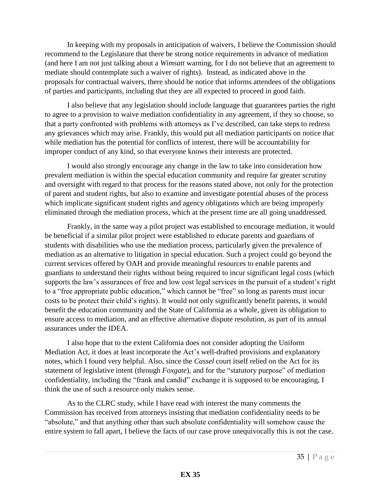In keeping with my proposals in anticipation of waivers, I believe the Commission should recommend to the Legislature that there be strong notice requirements in advance of mediation (and here I am not just talking about a *Wimsatt* warning, for I do not believe that an agreement to mediate should contemplate such a waiver of rights). Instead, as indicated above in the proposals for contractual waivers, there should be notice that informs attendees of the obligations of parties and participants, including that they are all expected to proceed in good faith.

I also believe that any legislation should include language that guarantees parties the right to agree to a provision to waive mediation confidentiality in any agreement, if they so choose, so that a party confronted with problems with attorneys as I've described, can take steps to redress any grievances which may arise. Frankly, this would put all mediation participants on notice that while mediation has the potential for conflicts of interest, there will be accountability for improper conduct of any kind, so that everyone knows their interests are protected.

I would also strongly encourage any change in the law to take into consideration how prevalent mediation is within the special education community and require far greater scrutiny and oversight with regard to that process for the reasons stated above, not only for the protection of parent and student rights, but also to examine and investigate potential abuses of the process which implicate significant student rights and agency obligations which are being improperly eliminated through the mediation process, which at the present time are all going unaddressed.

Frankly, in the same way a pilot project was established to encourage mediation, it would be beneficial if a similar pilot project were established to educate parents and guardians of students with disabilities who use the mediation process, particularly given the prevalence of mediation as an alternative to litigation in special education. Such a project could go beyond the current services offered by OAH and provide meaningful resources to enable parents and guardians to understand their rights without being required to incur significant legal costs (which supports the law's assurances of free and low cost legal services in the pursuit of a student's right to a "free appropriate public education," which cannot be "free" so long as parents must incur costs to be protect their child's rights). It would not only significantly benefit parents, it would benefit the education community and the State of California as a whole, given its obligation to ensure access to mediation, and an effective alternative dispute resolution, as part of its annual assurances under the IDEA.

I also hope that to the extent California does not consider adopting the Uniform Mediation Act, it does at least incorporate the Act's well-drafted provisions and explanatory notes, which I found very helpful. Also, since the *Cassel* court itself relied on the Act for its statement of legislative intent (through *Foxgate*)*,* and for the "statutory purpose" of mediation confidentiality, including the "frank and candid" exchange it is supposed to be encouraging, I think the use of such a resource only makes sense.

As to the CLRC study, while I have read with interest the many comments the Commission has received from attorneys insisting that mediation confidentiality needs to be "absolute," and that anything other than such absolute confidentiality will somehow cause the entire system to fall apart, I believe the facts of our case prove unequivocally this is not the case.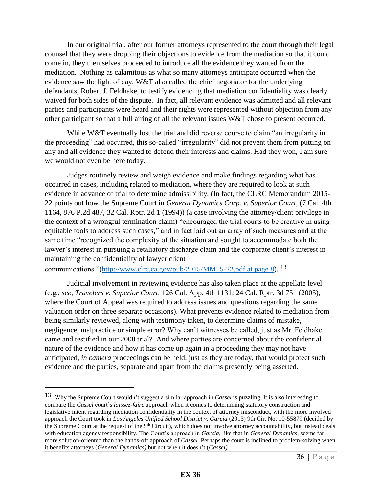In our original trial, after our former attorneys represented to the court through their legal counsel that they were dropping their objections to evidence from the mediation so that it could come in, they themselves proceeded to introduce all the evidence they wanted from the mediation. Nothing as calamitous as what so many attorneys anticipate occurred when the evidence saw the light of day. W&T also called the chief negotiator for the underlying defendants, Robert J. Feldhake, to testify evidencing that mediation confidentiality was clearly waived for both sides of the dispute. In fact, all relevant evidence was admitted and all relevant parties and participants were heard and their rights were represented without objection from any other participant so that a full airing of all the relevant issues W&T chose to present occurred.

While W&T eventually lost the trial and did reverse course to claim "an irregularity in the proceeding" had occurred, this so-called "irregularity" did not prevent them from putting on any and all evidence they wanted to defend their interests and claims. Had they won, I am sure we would not even be here today.

Judges routinely review and weigh evidence and make findings regarding what has occurred in cases, including related to mediation, where they are required to look at such evidence in advance of trial to determine admissibility. (In fact, the CLRC Memorandum 2015- 22 points out how the Supreme Court in *General Dynamics Corp. v. Superior Court*, (7 Cal. 4th 1164, 876 P.2d 487, 32 Cal. Rptr. 2d 1 (1994)) (a case involving the attorney/client privilege in the context of a wrongful termination claim) "encouraged the trial courts to be creative in using equitable tools to address such cases," and in fact laid out an array of such measures and at the same time "recognized the complexity of the situation and sought to accommodate both the lawyer's interest in pursuing a retaliatory discharge claim and the corporate client's interest in maintaining the confidentiality of lawyer client

communications."[\(http://www.clrc.ca.gov/pub/2015/MM15-22.pdf at page 8\)](http://www.clrc.ca.gov/pub/2015/MM15-22.pdf%20at%20page%208).  $^{13}$ 

 $\overline{a}$ 

Judicial involvement in reviewing evidence has also taken place at the appellate level (e.g., *see, Travelers v. Superior Court,* 126 Cal. App. 4th 1131; 24 Cal. Rptr. 3d 751 (2005), where the Court of Appeal was required to address issues and questions regarding the same valuation order on three separate occasions). What prevents evidence related to mediation from being similarly reviewed, along with testimony taken, to determine claims of mistake, negligence, malpractice or simple error? Why can't witnesses be called, just as Mr. Feldhake came and testified in our 2008 trial? And where parties are concerned about the confidential nature of the evidence and how it has come up again in a proceeding they may not have anticipated, *in camera* proceedings can be held, just as they are today, that would protect such evidence and the parties, separate and apart from the claims presently being asserted.

<sup>13</sup> Why the Supreme Court wouldn't suggest a similar approach in *Cassel* is puzzling. It is also interesting to compare the *Cassel* court's *laissez-faire* approach when it comes to determining statutory construction and legislative intent regarding mediation confidentiality in the context of attorney misconduct, with the more involved approach the Court took in *Los Angeles Unified School District v. Garcia* (2013) 9th Cir. No. 10-55879 (decided by the Supreme Court at the request of the  $9<sup>th</sup>$  Circuit), which does not involve attorney accountability, but instead deals with education agency responsibility. The Court's approach in *Garcia*, like that in *General Dynamics,* seems far more solution-oriented than the hands-off approach of *Cassel.* Perhaps the court is inclined to problem-solving when it benefits attorneys (*General Dynamics)* but not when it doesn't (*Cassel).*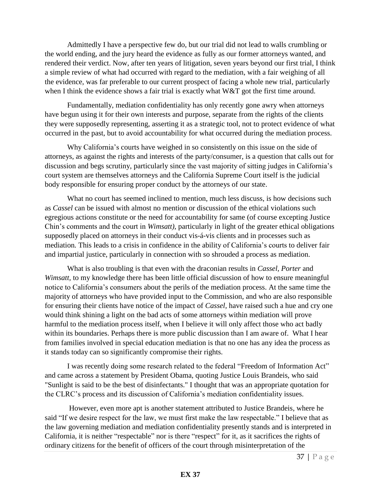Admittedly I have a perspective few do, but our trial did not lead to walls crumbling or the world ending, and the jury heard the evidence as fully as our former attorneys wanted, and rendered their verdict. Now, after ten years of litigation, seven years beyond our first trial, I think a simple review of what had occurred with regard to the mediation, with a fair weighing of all the evidence, was far preferable to our current prospect of facing a whole new trial, particularly when I think the evidence shows a fair trial is exactly what W&T got the first time around.

Fundamentally, mediation confidentiality has only recently gone awry when attorneys have begun using it for their own interests and purpose, separate from the rights of the clients they were supposedly representing, asserting it as a strategic tool, not to protect evidence of what occurred in the past, but to avoid accountability for what occurred during the mediation process.

Why California's courts have weighed in so consistently on this issue on the side of attorneys, as against the rights and interests of the party/consumer, is a question that calls out for discussion and begs scrutiny, particularly since the vast majority of sitting judges in California's court system are themselves attorneys and the California Supreme Court itself is the judicial body responsible for ensuring proper conduct by the attorneys of our state.

What no court has seemed inclined to mention, much less discuss, is how decisions such as *Cassel* can be issued with almost no mention or discussion of the ethical violations such egregious actions constitute or the need for accountability for same (of course excepting Justice Chin's comments and the court in *Wimsatt),* particularly in light of the greater ethical obligations supposedly placed on attorneys in their conduct vis-á-vis clients and in processes such as mediation*.* This leads to a crisis in confidence in the ability of California's courts to deliver fair and impartial justice, particularly in connection with so shrouded a process as mediation.

What is also troubling is that even with the draconian results in *Cassel, Porter* and *Wimsatt,* to my knowledge there has been little official discussion of how to ensure meaningful notice to California's consumers about the perils of the mediation process. At the same time the majority of attorneys who have provided input to the Commission, and who are also responsible for ensuring their clients have notice of the impact of *Cassel,* have raised such a hue and cry one would think shining a light on the bad acts of some attorneys within mediation will prove harmful to the mediation process itself, when I believe it will only affect those who act badly within its boundaries. Perhaps there is more public discussion than I am aware of. What I hear from families involved in special education mediation is that no one has any idea the process as it stands today can so significantly compromise their rights.

I was recently doing some research related to the federal "Freedom of Information Act" and came across a statement by President Obama, quoting Justice Louis Brandeis, who said "Sunlight is said to be the best of disinfectants." I thought that was an appropriate quotation for the CLRC's process and its discussion of California's mediation confidentiality issues.

However, even more apt is another statement attributed to Justice Brandeis, where he said "If we desire respect for the law, we must first make the law respectable." I believe that as the law governing mediation and mediation confidentiality presently stands and is interpreted in California, it is neither "respectable" nor is there "respect" for it, as it sacrifices the rights of ordinary citizens for the benefit of officers of the court through misinterpretation of the